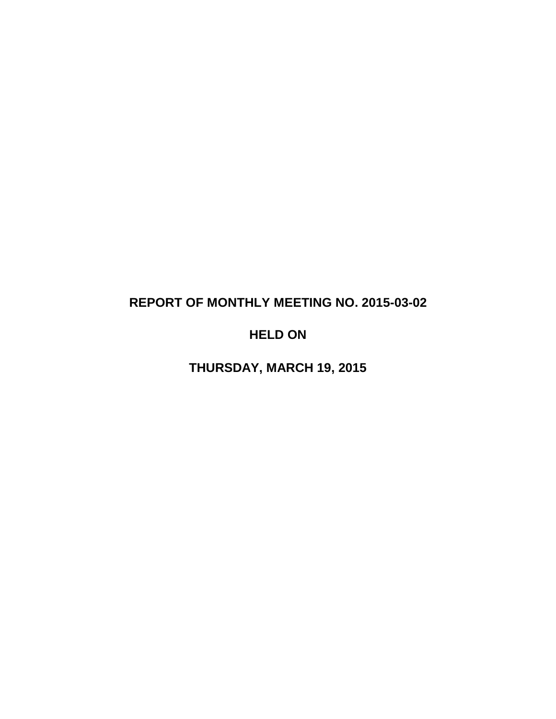# **REPORT OF MONTHLY MEETING NO. 2015-03-02**

# **HELD ON**

**THURSDAY, MARCH 19, 2015**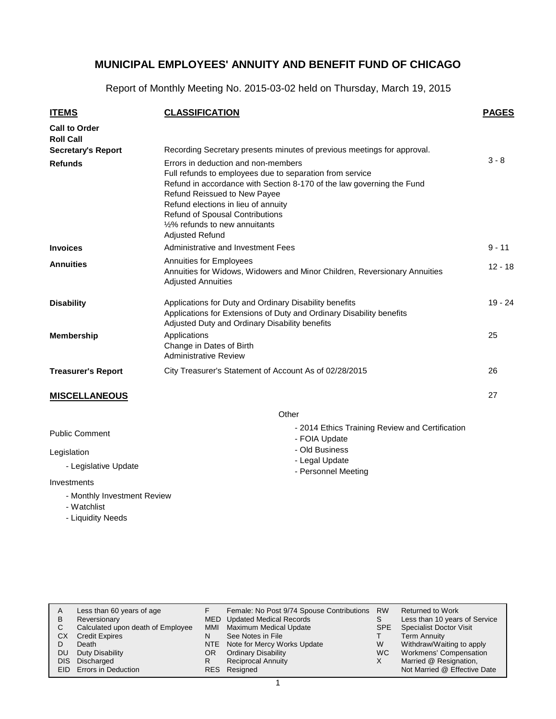Report of Monthly Meeting No. 2015-03-02 held on Thursday, March 19, 2015

| <u>ITEMS</u>                             | <b>CLASSIFICATION</b>                                                                                                                                                                                                                                                                                                                                        | <b>PAGES</b> |
|------------------------------------------|--------------------------------------------------------------------------------------------------------------------------------------------------------------------------------------------------------------------------------------------------------------------------------------------------------------------------------------------------------------|--------------|
| <b>Call to Order</b><br><b>Roll Call</b> |                                                                                                                                                                                                                                                                                                                                                              |              |
| <b>Secretary's Report</b>                | Recording Secretary presents minutes of previous meetings for approval.                                                                                                                                                                                                                                                                                      |              |
| <b>Refunds</b>                           | Errors in deduction and non-members<br>Full refunds to employees due to separation from service<br>Refund in accordance with Section 8-170 of the law governing the Fund<br><b>Refund Reissued to New Payee</b><br>Refund elections in lieu of annuity<br><b>Refund of Spousal Contributions</b><br>1/2% refunds to new annuitants<br><b>Adjusted Refund</b> | $3 - 8$      |
| <b>Invoices</b>                          | Administrative and Investment Fees                                                                                                                                                                                                                                                                                                                           | $9 - 11$     |
| <b>Annuities</b>                         | <b>Annuities for Employees</b><br>Annuities for Widows, Widowers and Minor Children, Reversionary Annuities<br><b>Adjusted Annuities</b>                                                                                                                                                                                                                     | $12 - 18$    |
| <b>Disability</b>                        | Applications for Duty and Ordinary Disability benefits<br>Applications for Extensions of Duty and Ordinary Disability benefits<br>Adjusted Duty and Ordinary Disability benefits                                                                                                                                                                             | $19 - 24$    |
| <b>Membership</b>                        | Applications<br>Change in Dates of Birth<br><b>Administrative Review</b>                                                                                                                                                                                                                                                                                     | 25           |
| <b>Treasurer's Report</b>                | City Treasurer's Statement of Account As of 02/28/2015                                                                                                                                                                                                                                                                                                       | 26           |
| <b>MISCELLANEOUS</b>                     |                                                                                                                                                                                                                                                                                                                                                              | 27           |
|                                          | Other                                                                                                                                                                                                                                                                                                                                                        |              |

- 2014 Ethics Training Review and Certification

- FOIA Update - Old Business - Legal Update - Personnel Meeting

Public Comment

Legislation

- Legislative Update

Investments

- Monthly Investment Review
- Watchlist
- Liquidity Needs

| В<br>CХ    | Less than 60 years of age<br>Reversionary<br>Calculated upon death of Employee<br><b>Credit Expires</b> | MMI<br>N | Female: No Post 9/74 Spouse Contributions<br>MED Updated Medical Records<br>Maximum Medical Update<br>See Notes in File | <b>RW</b><br>S<br><b>SPE</b> | <b>Returned to Work</b><br>Less than 10 years of Service<br><b>Specialist Doctor Visit</b><br><b>Term Annuity</b> |
|------------|---------------------------------------------------------------------------------------------------------|----------|-------------------------------------------------------------------------------------------------------------------------|------------------------------|-------------------------------------------------------------------------------------------------------------------|
| DU<br>DIS. | Death<br>Duty Disability<br>Discharged<br>EID Errors in Deduction                                       | OR.<br>R | NTE Note for Mercy Works Update<br><b>Ordinary Disability</b><br><b>Reciprocal Annuity</b><br>RES Resigned              | W<br>WC.                     | Withdraw/Waiting to apply<br>Workmens' Compensation<br>Married @ Resignation,<br>Not Married @ Effective Date     |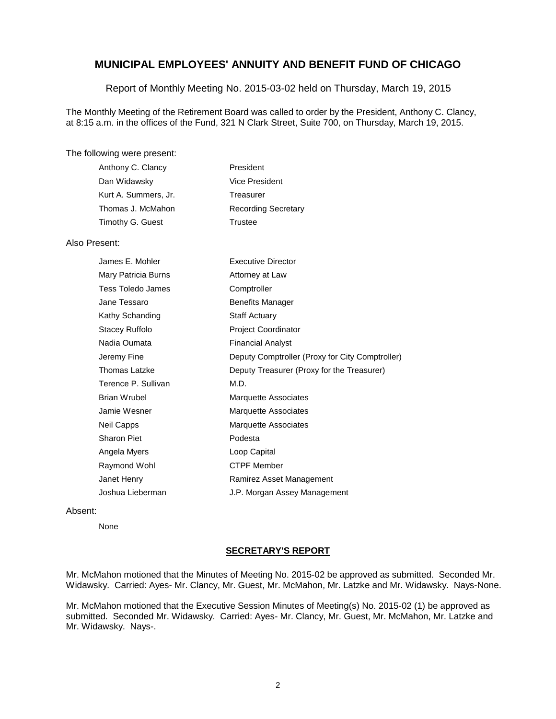Report of Monthly Meeting No. 2015-03-02 held on Thursday, March 19, 2015

The Monthly Meeting of the Retirement Board was called to order by the President, Anthony C. Clancy, at 8:15 a.m. in the offices of the Fund, 321 N Clark Street, Suite 700, on Thursday, March 19, 2015.

#### The following were present:

| Anthony C. Clancy    | President                  |
|----------------------|----------------------------|
| Dan Widawsky         | Vice President             |
| Kurt A. Summers, Jr. | Treasurer                  |
| Thomas J. McMahon    | <b>Recording Secretary</b> |
| Timothy G. Guest     | Trustee                    |

#### Also Present:

| James E. Mohler     | <b>Executive Director</b>                       |
|---------------------|-------------------------------------------------|
| Mary Patricia Burns | Attorney at Law                                 |
| Tess Toledo James   | Comptroller                                     |
| Jane Tessaro        | Benefits Manager                                |
| Kathy Schanding     | Staff Actuary                                   |
| Stacey Ruffolo      | <b>Project Coordinator</b>                      |
| Nadia Oumata        | <b>Financial Analyst</b>                        |
| Jeremy Fine         | Deputy Comptroller (Proxy for City Comptroller) |
| Thomas Latzke       | Deputy Treasurer (Proxy for the Treasurer)      |
| Terence P. Sullivan | M.D.                                            |
| Brian Wrubel        | Marquette Associates                            |
| Jamie Wesner        | <b>Marquette Associates</b>                     |
| Neil Capps          | Marquette Associates                            |
| Sharon Piet         | Podesta                                         |
| Angela Myers        | Loop Capital                                    |
| Raymond Wohl        | <b>CTPF Member</b>                              |
| Janet Henry         | Ramirez Asset Management                        |
| Joshua Lieberman    | J.P. Morgan Assey Management                    |

#### Absent:

None

#### **SECRETARY'S REPORT**

Mr. McMahon motioned that the Minutes of Meeting No. 2015-02 be approved as submitted. Seconded Mr. Widawsky. Carried: Ayes- Mr. Clancy, Mr. Guest, Mr. McMahon, Mr. Latzke and Mr. Widawsky. Nays-None.

Mr. McMahon motioned that the Executive Session Minutes of Meeting(s) No. 2015-02 (1) be approved as submitted. Seconded Mr. Widawsky. Carried: Ayes- Mr. Clancy, Mr. Guest, Mr. McMahon, Mr. Latzke and Mr. Widawsky. Nays-.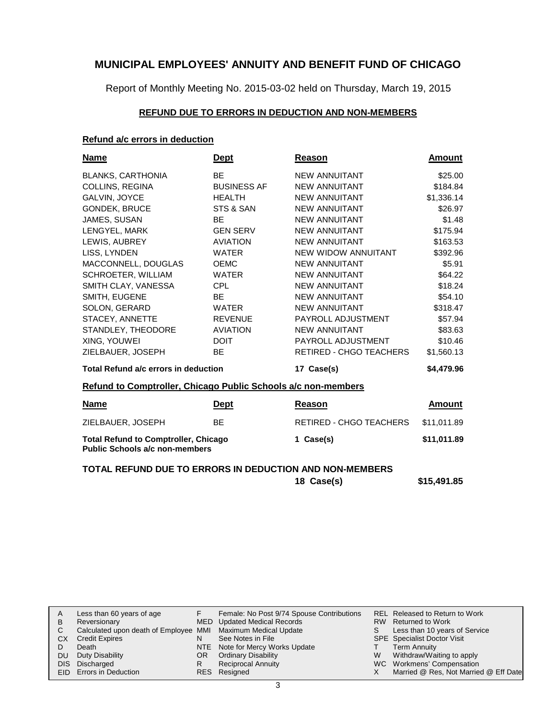Report of Monthly Meeting No. 2015-03-02 held on Thursday, March 19, 2015

#### **REFUND DUE TO ERRORS IN DEDUCTION AND NON-MEMBERS**

#### **Refund a/c errors in deduction**

| <b>Name</b>                                                   | <b>Dept</b>        | Reason                         | <b>Amount</b> |
|---------------------------------------------------------------|--------------------|--------------------------------|---------------|
| <b>BLANKS, CARTHONIA</b>                                      | <b>BE</b>          | <b>NEW ANNUITANT</b>           | \$25.00       |
| COLLINS, REGINA                                               | <b>BUSINESS AF</b> | <b>NEW ANNUITANT</b>           | \$184.84      |
| GALVIN, JOYCE                                                 | <b>HEALTH</b>      | <b>NEW ANNUITANT</b>           | \$1,336.14    |
| GONDEK, BRUCE                                                 | STS & SAN          | <b>NEW ANNUITANT</b>           | \$26.97       |
| JAMES, SUSAN                                                  | <b>BE</b>          | <b>NEW ANNUITANT</b>           | \$1.48        |
| LENGYEL, MARK                                                 | <b>GEN SERV</b>    | <b>NEW ANNUITANT</b>           | \$175.94      |
| LEWIS, AUBREY                                                 | <b>AVIATION</b>    | <b>NEW ANNUITANT</b>           | \$163.53      |
| LISS, LYNDEN                                                  | <b>WATER</b>       | NEW WIDOW ANNUITANT            | \$392.96      |
| MACCONNELL, DOUGLAS                                           | <b>OEMC</b>        | <b>NEW ANNUITANT</b>           | \$5.91        |
| SCHROETER, WILLIAM                                            | <b>WATER</b>       | <b>NEW ANNUITANT</b>           | \$64.22       |
| SMITH CLAY, VANESSA                                           | <b>CPL</b>         | <b>NEW ANNUITANT</b>           | \$18.24       |
| SMITH, EUGENE                                                 | <b>BE</b>          | <b>NEW ANNUITANT</b>           | \$54.10       |
| SOLON, GERARD                                                 | <b>WATER</b>       | <b>NEW ANNUITANT</b>           | \$318.47      |
| STACEY, ANNETTE                                               | <b>REVENUE</b>     | PAYROLL ADJUSTMENT             | \$57.94       |
| STANDLEY, THEODORE                                            | <b>AVIATION</b>    | <b>NEW ANNUITANT</b>           | \$83.63       |
| XING, YOUWEI                                                  | <b>DOIT</b>        | PAYROLL ADJUSTMENT             | \$10.46       |
| ZIELBAUER, JOSEPH                                             | <b>BE</b>          | <b>RETIRED - CHGO TEACHERS</b> | \$1,560.13    |
| Total Refund a/c errors in deduction                          |                    | 17 Case(s)                     | \$4,479.96    |
| Refund to Comptroller, Chicago Public Schools a/c non-members |                    |                                |               |
| <b>Name</b>                                                   | <b>Dept</b>        | Reason                         | Amount        |
| ZIELBAUER, JOSEPH                                             | <b>BE</b>          | RETIRED - CHGO TEACHERS        | \$11,011.89   |
| <b>Total Refund to Comptroller, Chicago</b>                   |                    | 1 Case(s)                      | \$11,011.89   |

**Public Schools a/c non-members**

#### **TOTAL REFUND DUE TO ERRORS IN DEDUCTION AND NON-MEMBERS**

**18 Case(s) \$15,491.85**

| B         | Less than 60 years of age<br>Reversionary<br>Calculated upon death of Employee MMI Maximum Medical Update |     | Female: No Post 9/74 Spouse Contributions<br>MED Updated Medical Records | S. | REL Released to Return to Work<br>RW Returned to Work<br>Less than 10 years of Service |
|-----------|-----------------------------------------------------------------------------------------------------------|-----|--------------------------------------------------------------------------|----|----------------------------------------------------------------------------------------|
| CX.       | <b>Credit Expires</b>                                                                                     |     | See Notes in File                                                        |    | <b>SPE</b> Specialist Doctor Visit                                                     |
|           | Death                                                                                                     |     | NTE Note for Mercy Works Update                                          |    | Term Annuity                                                                           |
| <b>DU</b> | Duty Disability                                                                                           | OR. | <b>Ordinary Disability</b>                                               | W  | Withdraw/Waiting to apply                                                              |
|           | DIS Discharged                                                                                            |     | <b>Reciprocal Annuity</b>                                                |    | WC Workmens' Compensation                                                              |
|           | EID Errors in Deduction                                                                                   |     | RES Resigned                                                             |    | Married @ Res, Not Married @ Eff Date                                                  |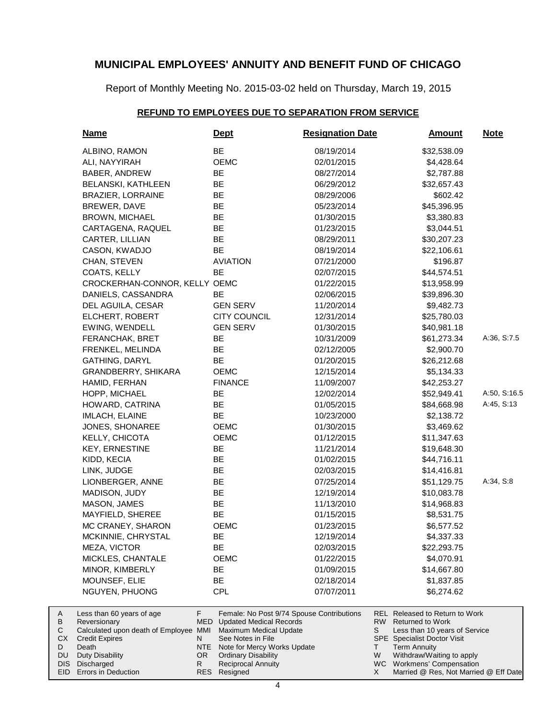Report of Monthly Meeting No. 2015-03-02 held on Thursday, March 19, 2015

#### **REFUND TO EMPLOYEES DUE TO SEPARATION FROM SERVICE**

| <b>Name</b>                                           | <u>Dept</u>                                                  | <b>Resignation Date</b>                   | <b>Amount</b>                                                        | <b>Note</b>  |
|-------------------------------------------------------|--------------------------------------------------------------|-------------------------------------------|----------------------------------------------------------------------|--------------|
| ALBINO, RAMON                                         | BE                                                           | 08/19/2014                                | \$32,538.09                                                          |              |
| ALI, NAYYIRAH                                         | <b>OEMC</b>                                                  | 02/01/2015                                | \$4,428.64                                                           |              |
| BABER, ANDREW                                         | BE                                                           | 08/27/2014                                | \$2,787.88                                                           |              |
| <b>BELANSKI, KATHLEEN</b>                             | BE                                                           | 06/29/2012                                | \$32,657.43                                                          |              |
| <b>BRAZIER, LORRAINE</b>                              | BE                                                           | 08/29/2006                                | \$602.42                                                             |              |
| BREWER, DAVE                                          | BE                                                           | 05/23/2014                                | \$45,396.95                                                          |              |
| <b>BROWN, MICHAEL</b>                                 | BE                                                           | 01/30/2015                                | \$3,380.83                                                           |              |
| CARTAGENA, RAQUEL                                     | BE                                                           | 01/23/2015                                | \$3,044.51                                                           |              |
| CARTER, LILLIAN                                       | BE                                                           | 08/29/2011                                | \$30,207.23                                                          |              |
| CASON, KWADJO                                         | BE                                                           | 08/19/2014                                | \$22,106.61                                                          |              |
| CHAN, STEVEN                                          | <b>AVIATION</b>                                              | 07/21/2000                                | \$196.87                                                             |              |
| COATS, KELLY                                          | BE                                                           | 02/07/2015                                | \$44,574.51                                                          |              |
| CROCKERHAN-CONNOR, KELLY OEMC                         |                                                              | 01/22/2015                                | \$13,958.99                                                          |              |
| DANIELS, CASSANDRA                                    | <b>BE</b>                                                    | 02/06/2015                                | \$39,896.30                                                          |              |
| DEL AGUILA, CESAR                                     | <b>GEN SERV</b>                                              | 11/20/2014                                | \$9,482.73                                                           |              |
| ELCHERT, ROBERT                                       | <b>CITY COUNCIL</b>                                          | 12/31/2014                                | \$25,780.03                                                          |              |
| EWING, WENDELL                                        | <b>GEN SERV</b>                                              | 01/30/2015                                | \$40,981.18                                                          |              |
| FERANCHAK, BRET                                       | BE                                                           | 10/31/2009                                | \$61,273.34                                                          | A:36, S:7.5  |
| FRENKEL, MELINDA                                      | BE                                                           | 02/12/2005                                | \$2,900.70                                                           |              |
| GATHING, DARYL                                        | BE                                                           | 01/20/2015                                | \$26,212.68                                                          |              |
| GRANDBERRY, SHIKARA                                   | OEMC                                                         | 12/15/2014                                | \$5,134.33                                                           |              |
| HAMID, FERHAN                                         | <b>FINANCE</b>                                               | 11/09/2007                                | \$42,253.27                                                          |              |
| HOPP, MICHAEL                                         | BE                                                           | 12/02/2014                                | \$52,949.41                                                          | A:50, S:16.5 |
| HOWARD, CATRINA                                       | BE                                                           | 01/05/2015                                | \$84,668.98                                                          | A:45, S:13   |
| IMLACH, ELAINE                                        | BE                                                           | 10/23/2000                                | \$2,138.72                                                           |              |
| JONES, SHONAREE                                       | OEMC                                                         | 01/30/2015                                | \$3,469.62                                                           |              |
| KELLY, CHICOTA                                        | OEMC                                                         | 01/12/2015                                | \$11,347.63                                                          |              |
| <b>KEY, ERNESTINE</b>                                 | BE                                                           | 11/21/2014                                | \$19,648.30                                                          |              |
| KIDD, KECIA                                           | BE                                                           | 01/02/2015                                | \$44,716.11                                                          |              |
| LINK, JUDGE                                           | BE                                                           | 02/03/2015                                | \$14,416.81                                                          |              |
| LIONBERGER, ANNE                                      | BE                                                           | 07/25/2014                                | \$51,129.75                                                          | A:34, S:8    |
| MADISON, JUDY                                         | BE                                                           | 12/19/2014                                | \$10,083.78                                                          |              |
| MASON, JAMES                                          | BE                                                           | 11/13/2010                                | \$14,968.83                                                          |              |
| MAYFIELD, SHEREE                                      | BE                                                           | 01/15/2015                                | \$8,531.75                                                           |              |
| MC CRANEY, SHARON                                     | OEMC                                                         | 01/23/2015                                | \$6,577.52                                                           |              |
| MCKINNIE, CHRYSTAL                                    | BF                                                           | 12/19/2014                                | \$4,337.33                                                           |              |
| MEZA, VICTOR                                          | BE                                                           | 02/03/2015                                | \$22,293.75                                                          |              |
| MICKLES, CHANTALE                                     | OEMC                                                         | 01/22/2015                                | \$4,070.91                                                           |              |
| MINOR, KIMBERLY                                       | ВE                                                           | 01/09/2015                                | \$14,667.80                                                          |              |
| MOUNSEF, ELIE                                         | BE                                                           | 02/18/2014                                | \$1,837.85                                                           |              |
| NGUYEN, PHUONG                                        | <b>CPL</b>                                                   | 07/07/2011                                | \$6,274.62                                                           |              |
|                                                       |                                                              |                                           |                                                                      |              |
| F.<br>Less than 60 years of age                       |                                                              | Female: No Post 9/74 Spouse Contributions | REL Released to Return to Work                                       |              |
| Reversionary<br>Calculated upon death of Employee MMI | <b>MED</b> Updated Medical Records<br>Maximum Medical Update |                                           | RW.<br><b>Returned to Work</b><br>S<br>Less than 10 years of Service |              |

- Maximum Medical Update MMI
- See Notes in File N NTE

R

- Note for Mercy Works Update OR
	- Ordinary Disability Reciprocal Annuity

Duty Disability DIS Discharged EID Errors in Deduction

CX Credit Expires Death

A B  $\mathbf C$ D DU

Resigned RES

- Less than 10 years of Service S
- Specialist Doctor Visit SPE
- Term Annuity T W
- Withdraw/Waiting to apply
- WC Workmens' Compensation X
	- Married @ Res, Not Married @ Eff Date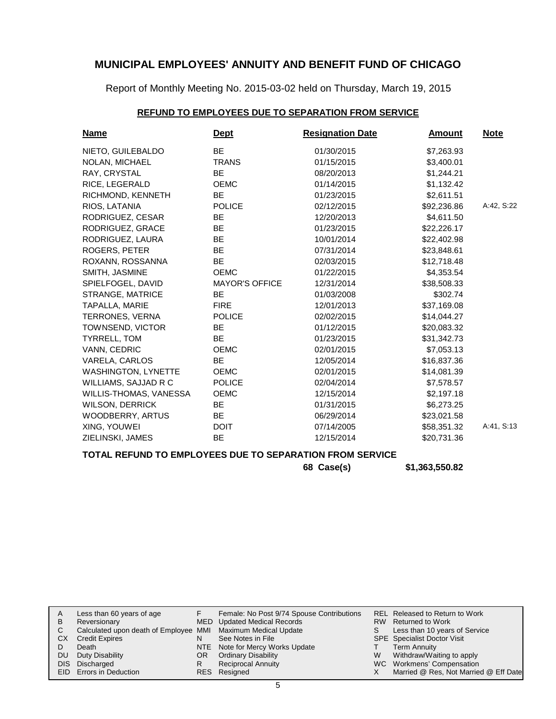Report of Monthly Meeting No. 2015-03-02 held on Thursday, March 19, 2015

### **REFUND TO EMPLOYEES DUE TO SEPARATION FROM SERVICE**

| <u>Name</u>                | <u>Dept</u>           | <b>Resignation Date</b> | <b>Amount</b> | <u>Note</u> |
|----------------------------|-----------------------|-------------------------|---------------|-------------|
| NIETO, GUILEBALDO          | <b>BE</b>             | 01/30/2015              | \$7,263.93    |             |
| NOLAN, MICHAEL             | <b>TRANS</b>          | 01/15/2015              | \$3,400.01    |             |
| RAY, CRYSTAL               | <b>BE</b>             | 08/20/2013              | \$1,244.21    |             |
| RICE, LEGERALD             | <b>OEMC</b>           | 01/14/2015              | \$1,132.42    |             |
| RICHMOND, KENNETH          | <b>BE</b>             | 01/23/2015              | \$2,611.51    |             |
| RIOS, LATANIA              | <b>POLICE</b>         | 02/12/2015              | \$92,236.86   | A:42, S:22  |
| RODRIGUEZ, CESAR           | <b>BE</b>             | 12/20/2013              | \$4,611.50    |             |
| RODRIGUEZ, GRACE           | <b>BE</b>             | 01/23/2015              | \$22,226.17   |             |
| RODRIGUEZ, LAURA           | <b>BE</b>             | 10/01/2014              | \$22,402.98   |             |
| ROGERS, PETER              | <b>BE</b>             | 07/31/2014              | \$23,848.61   |             |
| ROXANN, ROSSANNA           | <b>BE</b>             | 02/03/2015              | \$12,718.48   |             |
| SMITH, JASMINE             | <b>OEMC</b>           | 01/22/2015              | \$4,353.54    |             |
| SPIELFOGEL, DAVID          | <b>MAYOR'S OFFICE</b> | 12/31/2014              | \$38,508.33   |             |
| STRANGE, MATRICE           | BE.                   | 01/03/2008              | \$302.74      |             |
| TAPALLA, MARIE             | <b>FIRE</b>           | 12/01/2013              | \$37,169.08   |             |
| TERRONES, VERNA            | <b>POLICE</b>         | 02/02/2015              | \$14,044.27   |             |
| TOWNSEND, VICTOR           | BE.                   | 01/12/2015              | \$20.083.32   |             |
| TYRRELL, TOM               | <b>BE</b>             | 01/23/2015              | \$31,342.73   |             |
| VANN, CEDRIC               | <b>OEMC</b>           | 02/01/2015              | \$7,053.13    |             |
| VARELA, CARLOS             | <b>BE</b>             | 12/05/2014              | \$16,837.36   |             |
| <b>WASHINGTON, LYNETTE</b> | <b>OEMC</b>           | 02/01/2015              | \$14,081.39   |             |
| WILLIAMS, SAJJAD R C       | <b>POLICE</b>         | 02/04/2014              | \$7,578.57    |             |
| WILLIS-THOMAS, VANESSA     | <b>OEMC</b>           | 12/15/2014              | \$2,197.18    |             |
| <b>WILSON, DERRICK</b>     | <b>BE</b>             | 01/31/2015              | \$6,273.25    |             |
| WOODBERRY, ARTUS           | <b>BE</b>             | 06/29/2014              | \$23,021.58   |             |
| XING, YOUWEI               | <b>DOIT</b>           | 07/14/2005              | \$58,351.32   | A:41, S:13  |
| ZIELINSKI, JAMES           | <b>BE</b>             | 12/15/2014              | \$20,731.36   |             |

### **TOTAL REFUND TO EMPLOYEES DUE TO SEPARATION FROM SERVICE**

**68 Case(s) \$1,363,550.82**

| B  | Less than 60 years of age<br>Reversionary<br>Calculated upon death of Employee MMI Maximum Medical Update |     | Female: No Post 9/74 Spouse Contributions<br>MED Updated Medical Records | S | REL Released to Return to Work<br>RW Returned to Work<br>Less than 10 years of Service |
|----|-----------------------------------------------------------------------------------------------------------|-----|--------------------------------------------------------------------------|---|----------------------------------------------------------------------------------------|
| СX | <b>Credit Expires</b>                                                                                     |     | See Notes in File                                                        |   | <b>SPE</b> Specialist Doctor Visit                                                     |
|    | Death                                                                                                     |     | NTE Note for Mercy Works Update                                          |   | Term Annuity                                                                           |
| DU | Duty Disability                                                                                           | OR. | <b>Ordinary Disability</b>                                               | W | Withdraw/Waiting to apply                                                              |
|    | DIS Discharged                                                                                            |     | <b>Reciprocal Annuity</b>                                                |   | WC Workmens' Compensation                                                              |
|    | EID Errors in Deduction                                                                                   |     | RES Resigned                                                             |   | Married @ Res, Not Married @ Eff Date                                                  |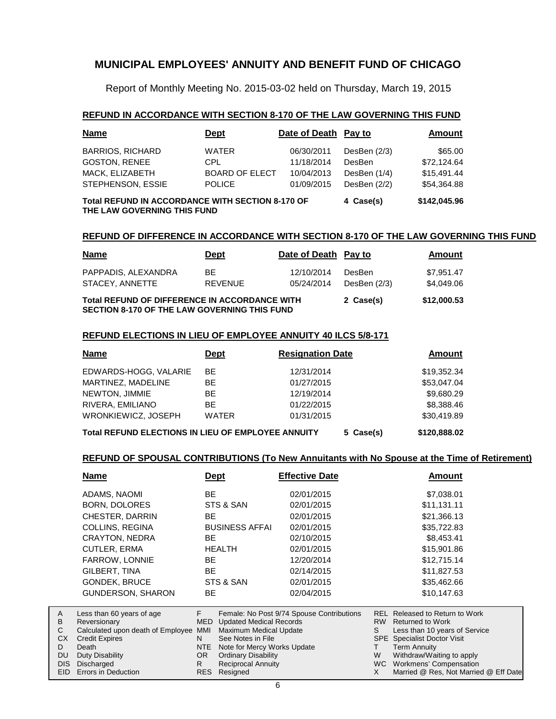Report of Monthly Meeting No. 2015-03-02 held on Thursday, March 19, 2015

#### **REFUND IN ACCORDANCE WITH SECTION 8-170 OF THE LAW GOVERNING THIS FUND**

| <b>Name</b>                                                                     | <b>Dept</b>           | Date of Death Pay to |              | Amount      |
|---------------------------------------------------------------------------------|-----------------------|----------------------|--------------|-------------|
| <b>BARRIOS, RICHARD</b>                                                         | <b>WATER</b>          | 06/30/2011           | DesBen (2/3) | \$65.00     |
| <b>GOSTON, RENEE</b>                                                            | CPL.                  | 11/18/2014           | DesBen       | \$72,124.64 |
| MACK, ELIZABETH                                                                 | <b>BOARD OF ELECT</b> | 10/04/2013           | DesBen (1/4) | \$15,491.44 |
| STEPHENSON, ESSIE                                                               | <b>POLICE</b>         | 01/09/2015           | DesBen (2/2) | \$54.364.88 |
| Total REFUND IN ACCORDANCE WITH SECTION 8-170 OF<br>THE LAW GOVERNING THIS FUND | 4 Case(s)             | \$142,045.96         |              |             |

#### **REFUND OF DIFFERENCE IN ACCORDANCE WITH SECTION 8-170 OF THE LAW GOVERNING THIS FUND**

| <b>Name</b>                                                                                          | <b>Dept</b>           | Date of Death Pay to     |                          | Amount                   |
|------------------------------------------------------------------------------------------------------|-----------------------|--------------------------|--------------------------|--------------------------|
| PAPPADIS, ALEXANDRA<br>STACEY, ANNETTE                                                               | BF.<br><b>REVENUE</b> | 12/10/2014<br>05/24/2014 | DesBen<br>DesBen $(2/3)$ | \$7.951.47<br>\$4,049.06 |
| Total REFUND OF DIFFERENCE IN ACCORDANCE WITH<br><b>SECTION 8-170 OF THE LAW GOVERNING THIS FUND</b> | 2 Case(s)             | \$12,000.53              |                          |                          |

#### **REFUND ELECTIONS IN LIEU OF EMPLOYEE ANNUITY 40 ILCS 5/8-171**

| <b>Name</b>                                        | Dept         | <b>Resignation Date</b> | <b>Amount</b> |
|----------------------------------------------------|--------------|-------------------------|---------------|
| EDWARDS-HOGG, VALARIE                              | BE.          | 12/31/2014              | \$19,352.34   |
| MARTINEZ, MADELINE                                 | BE.          | 01/27/2015              | \$53,047.04   |
| NEWTON, JIMMIE                                     | BE.          | 12/19/2014              | \$9,680.29    |
| RIVERA, EMILIANO                                   | BE.          | 01/22/2015              | \$8,388.46    |
| WRONKIEWICZ, JOSEPH                                | <b>WATER</b> | 01/31/2015              | \$30,419.89   |
| Total REFUND ELECTIONS IN LIEU OF EMPLOYEE ANNUITY |              | 5 Case(s)               | \$120,888.02  |

#### **REFUND OF SPOUSAL CONTRIBUTIONS (To New Annuitants with No Spouse at the Time of Retirement)**

|          | <u>Name</u>                                                | <b>Dept</b> |                                                    | <b>Effective Date</b>                     |           | <b>Amount</b>                                                       |
|----------|------------------------------------------------------------|-------------|----------------------------------------------------|-------------------------------------------|-----------|---------------------------------------------------------------------|
|          | ADAMS, NAOMI                                               | <b>BE</b>   |                                                    | 02/01/2015                                |           | \$7,038.01                                                          |
|          | <b>BORN, DOLORES</b>                                       |             | STS & SAN                                          | 02/01/2015                                |           | \$11,131.11                                                         |
|          | CHESTER, DARRIN                                            | BE          |                                                    | 02/01/2015                                |           | \$21,366.13                                                         |
|          | COLLINS, REGINA                                            |             | <b>BUSINESS AFFAI</b>                              | 02/01/2015                                |           | \$35,722.83                                                         |
|          | <b>CRAYTON, NEDRA</b>                                      | <b>BE</b>   |                                                    | 02/10/2015                                |           | \$8,453.41                                                          |
|          | CUTLER, ERMA                                               |             | <b>HEALTH</b>                                      | 02/01/2015                                |           | \$15,901.86                                                         |
|          | <b>FARROW, LONNIE</b>                                      | <b>BE</b>   |                                                    | 12/20/2014                                |           | \$12,715.14                                                         |
|          | GILBERT, TINA                                              | <b>BE</b>   |                                                    | 02/14/2015                                |           | \$11,827.53                                                         |
|          | <b>GONDEK, BRUCE</b>                                       |             | STS & SAN                                          | 02/01/2015                                |           | \$35,462.66                                                         |
|          | <b>GUNDERSON, SHARON</b>                                   | <b>BE</b>   |                                                    | 02/04/2015                                |           | \$10,147.63                                                         |
|          |                                                            |             |                                                    |                                           |           |                                                                     |
| A<br>В   | Less than 60 years of age<br>Reversionary                  | F.          | <b>MED</b> Updated Medical Records                 | Female: No Post 9/74 Spouse Contributions | <b>RW</b> | REL Released to Return to Work<br><b>Returned to Work</b>           |
| C<br>CX. | Calculated upon death of Employee<br><b>Credit Expires</b> | MMI<br>N    | <b>Maximum Medical Update</b><br>See Notes in File |                                           | S         | Less than 10 years of Service<br><b>SPE</b> Specialist Doctor Visit |
| D        | Death                                                      | <b>NTE</b>  | Note for Mercy Works Update                        |                                           | T.        | Term Annuity                                                        |
| DU       | Duty Disability                                            | OR.         | <b>Ordinary Disability</b>                         |                                           | W         | Withdraw/Waiting to apply                                           |
| DIS.     | Discharged                                                 | R.          | <b>Reciprocal Annuity</b>                          |                                           | <b>WC</b> | Workmens' Compensation                                              |
| EID.     | Errors in Deduction                                        | <b>RES</b>  | Resigned                                           |                                           | X         | Married @ Res, Not Married @ Eff Date                               |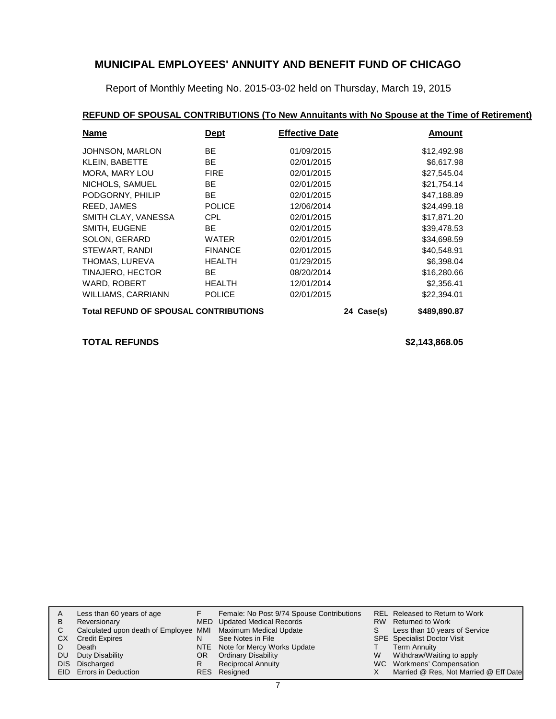Report of Monthly Meeting No. 2015-03-02 held on Thursday, March 19, 2015

### **REFUND OF SPOUSAL CONTRIBUTIONS (To New Annuitants with No Spouse at the Time of Retirement)**

| <b>Name</b>                                  | <b>Dept</b>    | <b>Effective Date</b> |              | Amount      |
|----------------------------------------------|----------------|-----------------------|--------------|-------------|
| JOHNSON, MARLON                              | <b>BE</b>      | 01/09/2015            |              | \$12,492.98 |
| <b>KLEIN, BABETTE</b>                        | <b>BE</b>      | 02/01/2015            |              | \$6,617.98  |
| MORA, MARY LOU                               | <b>FIRE</b>    | 02/01/2015            |              | \$27,545.04 |
| NICHOLS, SAMUEL                              | <b>BE</b>      | 02/01/2015            |              | \$21,754.14 |
| PODGORNY, PHILIP                             | <b>BE</b>      | 02/01/2015            |              | \$47,188.89 |
| REED, JAMES                                  | <b>POLICE</b>  | 12/06/2014            |              | \$24,499.18 |
| SMITH CLAY, VANESSA                          | <b>CPL</b>     | 02/01/2015            |              | \$17,871.20 |
| SMITH, EUGENE                                | <b>BE</b>      | 02/01/2015            |              | \$39,478.53 |
| SOLON, GERARD                                | <b>WATER</b>   | 02/01/2015            |              | \$34,698.59 |
| STEWART, RANDI                               | <b>FINANCE</b> | 02/01/2015            |              | \$40,548.91 |
| THOMAS, LUREVA                               | <b>HEALTH</b>  | 01/29/2015            |              | \$6,398.04  |
| TINAJERO, HECTOR                             | <b>BE</b>      | 08/20/2014            |              | \$16,280.66 |
| WARD, ROBERT                                 | <b>HEALTH</b>  | 12/01/2014            |              | \$2,356.41  |
| <b>WILLIAMS, CARRIANN</b>                    | <b>POLICE</b>  | 02/01/2015            |              | \$22,394.01 |
| <b>Total REFUND OF SPOUSAL CONTRIBUTIONS</b> |                | 24 Case(s)            | \$489,890.87 |             |

#### **TOTAL REFUNDS \$2,143,868.05**

| Α  | Less than 60 years of age                                    |     | Female: No Post 9/74 Spouse Contributions |    | REL Released to Return to Work        |
|----|--------------------------------------------------------------|-----|-------------------------------------------|----|---------------------------------------|
| в  | Reversionary                                                 |     | MED Updated Medical Records               |    | RW Returned to Work                   |
|    | Calculated upon death of Employee MMI Maximum Medical Update |     |                                           | S. | Less than 10 years of Service         |
| CХ | <b>Credit Expires</b>                                        | N   | See Notes in File                         |    | <b>SPE</b> Specialist Doctor Visit    |
|    | Death                                                        |     | NTE Note for Mercy Works Update           |    | Term Annuity                          |
| DU | Duty Disability                                              | OR. | <b>Ordinary Disability</b>                | W  | Withdraw/Waiting to apply             |
|    | DIS Discharged                                               |     | <b>Reciprocal Annuity</b>                 |    | WC Workmens' Compensation             |
|    | EID Errors in Deduction                                      |     | RES Resigned                              |    | Married @ Res, Not Married @ Eff Date |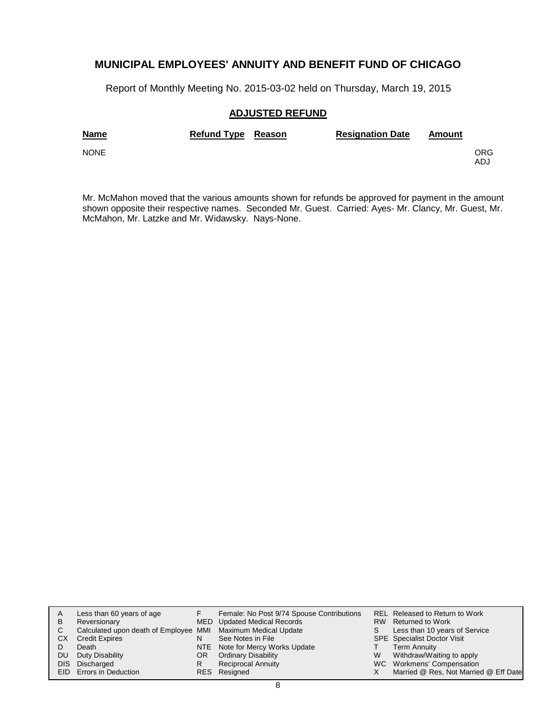Report of Monthly Meeting No. 2015-03-02 held on Thursday, March 19, 2015

#### **ADJUSTED REFUND**

| <b>Name</b> | Refund Type Reason | <b>Resignation Date</b> | Amount |            |
|-------------|--------------------|-------------------------|--------|------------|
| <b>NONE</b> |                    |                         |        | ORG<br>ADJ |

Mr. McMahon moved that the various amounts shown for refunds be approved for payment in the amount shown opposite their respective names. Seconded Mr. Guest. Carried: Ayes- Mr. Clancy, Mr. Guest, Mr. McMahon, Mr. Latzke and Mr. Widawsky. Nays-None.

| A    | Less than 60 years of age                                    |     | Female: No Post 9/74 Spouse Contributions |    | REL Released to Return to Work        |
|------|--------------------------------------------------------------|-----|-------------------------------------------|----|---------------------------------------|
| B    | Reversionary                                                 |     | MED Updated Medical Records               |    | RW Returned to Work                   |
| C.   | Calculated upon death of Employee MMI Maximum Medical Update |     |                                           | S. | Less than 10 years of Service         |
| СX   | <b>Credit Expires</b>                                        |     | See Notes in File                         |    | <b>SPE</b> Specialist Doctor Visit    |
|      | Death                                                        |     | NTE Note for Mercy Works Update           |    | <b>Term Annuity</b>                   |
| DU   | Duty Disability                                              | OR. | <b>Ordinary Disability</b>                | W  | Withdraw/Waiting to apply             |
| DIS. | Discharged                                                   | R   | <b>Reciprocal Annuity</b>                 |    | WC Workmens' Compensation             |
|      | EID Errors in Deduction                                      |     | RES Resigned                              |    | Married @ Res, Not Married @ Eff Date |
|      |                                                              |     |                                           |    |                                       |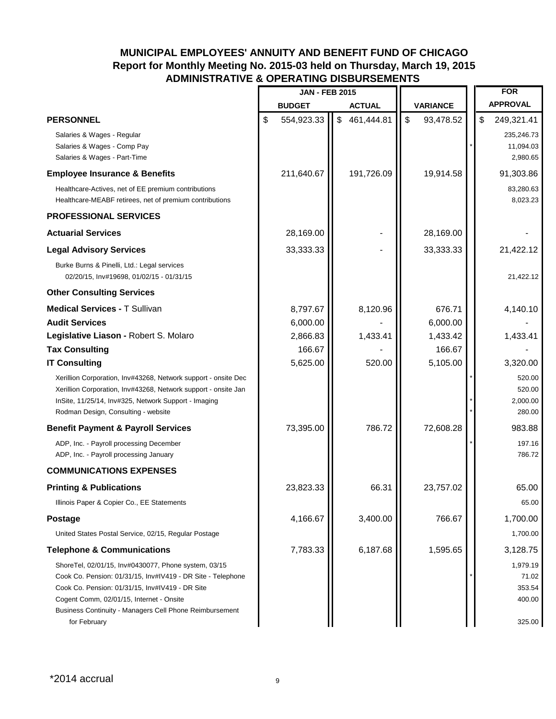# **MUNICIPAL EMPLOYEES' ANNUITY AND BENEFIT FUND OF CHICAGO Report for Monthly Meeting No. 2015-03 held on Thursday, March 19, 2015 ADMINISTRATIVE & OPERATING DISBURSEMENTS**

|                                                                                                                                                                                                                                                                                               | <b>JAN - FEB 2015</b> |                         |               |                           |                 |    | <b>FOR</b>                                      |
|-----------------------------------------------------------------------------------------------------------------------------------------------------------------------------------------------------------------------------------------------------------------------------------------------|-----------------------|-------------------------|---------------|---------------------------|-----------------|----|-------------------------------------------------|
|                                                                                                                                                                                                                                                                                               | <b>BUDGET</b>         |                         | <b>ACTUAL</b> |                           | <b>VARIANCE</b> |    | <b>APPROVAL</b>                                 |
| <b>PERSONNEL</b>                                                                                                                                                                                                                                                                              | \$<br>554,923.33      | $\sqrt[6]{\frac{1}{2}}$ | 461,444.81    | $\boldsymbol{\mathsf{S}}$ | 93,478.52       | \$ | 249,321.41                                      |
| Salaries & Wages - Regular<br>Salaries & Wages - Comp Pay<br>Salaries & Wages - Part-Time                                                                                                                                                                                                     |                       |                         |               |                           |                 |    | 235,246.73<br>11,094.03<br>2,980.65             |
| <b>Employee Insurance &amp; Benefits</b>                                                                                                                                                                                                                                                      | 211,640.67            |                         | 191,726.09    |                           | 19,914.58       |    | 91,303.86                                       |
| Healthcare-Actives, net of EE premium contributions<br>Healthcare-MEABF retirees, net of premium contributions                                                                                                                                                                                |                       |                         |               |                           |                 |    | 83,280.63<br>8,023.23                           |
| <b>PROFESSIONAL SERVICES</b>                                                                                                                                                                                                                                                                  |                       |                         |               |                           |                 |    |                                                 |
| <b>Actuarial Services</b>                                                                                                                                                                                                                                                                     | 28,169.00             |                         |               |                           | 28,169.00       |    |                                                 |
| <b>Legal Advisory Services</b>                                                                                                                                                                                                                                                                | 33,333.33             |                         |               |                           | 33,333.33       |    | 21,422.12                                       |
| Burke Burns & Pinelli, Ltd.: Legal services<br>02/20/15, Inv#19698, 01/02/15 - 01/31/15                                                                                                                                                                                                       |                       |                         |               |                           |                 |    | 21,422.12                                       |
| <b>Other Consulting Services</b>                                                                                                                                                                                                                                                              |                       |                         |               |                           |                 |    |                                                 |
| <b>Medical Services - T Sullivan</b>                                                                                                                                                                                                                                                          | 8,797.67              |                         | 8,120.96      |                           | 676.71          |    | 4,140.10                                        |
| <b>Audit Services</b>                                                                                                                                                                                                                                                                         | 6,000.00              |                         |               |                           | 6,000.00        |    |                                                 |
| Legislative Liason - Robert S. Molaro                                                                                                                                                                                                                                                         | 2,866.83              |                         | 1,433.41      |                           | 1,433.42        |    | 1,433.41                                        |
| <b>Tax Consulting</b>                                                                                                                                                                                                                                                                         | 166.67                |                         |               |                           | 166.67          |    |                                                 |
| <b>IT Consulting</b>                                                                                                                                                                                                                                                                          | 5,625.00              |                         | 520.00        |                           | 5,105.00        |    | 3,320.00                                        |
| Xerillion Corporation, Inv#43268, Network support - onsite Dec<br>Xerillion Corporation, Inv#43268, Network support - onsite Jan<br>InSite, 11/25/14, Inv#325, Network Support - Imaging<br>Rodman Design, Consulting - website                                                               |                       |                         |               |                           |                 |    | 520.00<br>520.00<br>2,000.00<br>280.00          |
| <b>Benefit Payment &amp; Payroll Services</b>                                                                                                                                                                                                                                                 | 73,395.00             |                         | 786.72        |                           | 72,608.28       |    | 983.88                                          |
| ADP, Inc. - Payroll processing December<br>ADP, Inc. - Payroll processing January                                                                                                                                                                                                             |                       |                         |               |                           |                 |    | 197.16<br>786.72                                |
| <b>COMMUNICATIONS EXPENSES</b>                                                                                                                                                                                                                                                                |                       |                         |               |                           |                 |    |                                                 |
| <b>Printing &amp; Publications</b>                                                                                                                                                                                                                                                            | 23,823.33             |                         | 66.31         |                           | 23,757.02       |    | 65.00                                           |
| Illinois Paper & Copier Co., EE Statements                                                                                                                                                                                                                                                    |                       |                         |               |                           |                 |    | 65.00                                           |
| <b>Postage</b>                                                                                                                                                                                                                                                                                | 4,166.67              |                         | 3,400.00      |                           | 766.67          |    | 1,700.00                                        |
| United States Postal Service, 02/15, Regular Postage                                                                                                                                                                                                                                          |                       |                         |               |                           |                 |    | 1,700.00                                        |
| <b>Telephone &amp; Communications</b>                                                                                                                                                                                                                                                         | 7,783.33              |                         | 6,187.68      |                           | 1,595.65        |    | 3,128.75                                        |
| ShoreTel, 02/01/15, Inv#0430077, Phone system, 03/15<br>Cook Co. Pension: 01/31/15, Inv#IV419 - DR Site - Telephone<br>Cook Co. Pension: 01/31/15, Inv#IV419 - DR Site<br>Cogent Comm, 02/01/15, Internet - Onsite<br>Business Continuity - Managers Cell Phone Reimbursement<br>for February |                       |                         |               |                           |                 |    | 1,979.19<br>71.02<br>353.54<br>400.00<br>325.00 |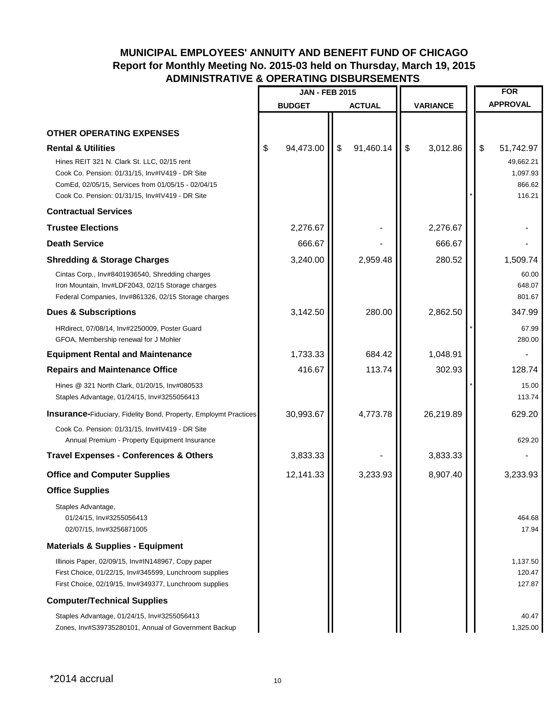# **MUNICIPAL EMPLOYEES' ANNUITY AND BENEFIT FUND OF CHICAGO Report for Monthly Meeting No. 2015-03 held on Thursday, March 19, 2015 ADMINISTRATIVE & OPERATING DISBURSEMENTS**

|                                                                                                                                                                                                                                          | <b>JAN - FEB 2015</b> |                 |                 |  | <b>FOR</b> |                                                        |
|------------------------------------------------------------------------------------------------------------------------------------------------------------------------------------------------------------------------------------------|-----------------------|-----------------|-----------------|--|------------|--------------------------------------------------------|
|                                                                                                                                                                                                                                          | <b>BUDGET</b>         | <b>ACTUAL</b>   | <b>VARIANCE</b> |  |            | <b>APPROVAL</b>                                        |
|                                                                                                                                                                                                                                          |                       |                 |                 |  |            |                                                        |
| <b>OTHER OPERATING EXPENSES</b>                                                                                                                                                                                                          |                       |                 |                 |  |            |                                                        |
| <b>Rental &amp; Utilities</b><br>Hines REIT 321 N. Clark St. LLC, 02/15 rent<br>Cook Co. Pension: 01/31/15, Inv#IV419 - DR Site<br>ComEd, 02/05/15, Services from 01/05/15 - 02/04/15<br>Cook Co. Pension: 01/31/15, Inv#IV419 - DR Site | 94,473.00<br>\$       | \$<br>91,460.14 | \$<br>3,012.86  |  | \$         | 51,742.97<br>49,662.21<br>1,097.93<br>866.62<br>116.21 |
| <b>Contractual Services</b>                                                                                                                                                                                                              |                       |                 |                 |  |            |                                                        |
| <b>Trustee Elections</b>                                                                                                                                                                                                                 | 2,276.67              |                 | 2,276.67        |  |            |                                                        |
| <b>Death Service</b>                                                                                                                                                                                                                     | 666.67                |                 | 666.67          |  |            |                                                        |
| <b>Shredding &amp; Storage Charges</b><br>Cintas Corp., Inv#8401936540, Shredding charges<br>Iron Mountain, Inv#LDF2043, 02/15 Storage charges<br>Federal Companies, Inv#861326, 02/15 Storage charges                                   | 3,240.00              | 2,959.48        | 280.52          |  |            | 1,509.74<br>60.00<br>648.07<br>801.67                  |
| <b>Dues &amp; Subscriptions</b>                                                                                                                                                                                                          | 3,142.50              | 280.00          | 2,862.50        |  |            | 347.99                                                 |
| HRdirect, 07/08/14, Inv#2250009, Poster Guard<br>GFOA, Membership renewal for J Mohler                                                                                                                                                   |                       |                 |                 |  |            | 67.99<br>280.00                                        |
| <b>Equipment Rental and Maintenance</b>                                                                                                                                                                                                  | 1,733.33              | 684.42          | 1,048.91        |  |            |                                                        |
| <b>Repairs and Maintenance Office</b>                                                                                                                                                                                                    | 416.67                | 113.74          | 302.93          |  |            | 128.74                                                 |
| Hines @ 321 North Clark, 01/20/15, Inv#080533<br>Staples Advantage, 01/24/15, Inv#3255056413                                                                                                                                             |                       |                 |                 |  |            | 15.00<br>113.74                                        |
| <b>Insurance-Fiduciary, Fidelity Bond, Property, Employmt Practices</b>                                                                                                                                                                  | 30,993.67             | 4,773.78        | 26,219.89       |  |            | 629.20                                                 |
| Cook Co. Pension: 01/31/15, Inv#IV419 - DR Site<br>Annual Premium - Property Equipment Insurance                                                                                                                                         |                       |                 |                 |  |            | 629.20                                                 |
| <b>Travel Expenses - Conferences &amp; Others</b>                                                                                                                                                                                        | 3,833.33              |                 | 3,833.33        |  |            |                                                        |
| <b>Office and Computer Supplies</b>                                                                                                                                                                                                      | 12,141.33             | 3,233.93        | 8,907.40        |  |            | 3,233.93                                               |
| <b>Office Supplies</b>                                                                                                                                                                                                                   |                       |                 |                 |  |            |                                                        |
| Staples Advantage,<br>01/24/15, Inv#3255056413<br>02/07/15, Inv#3256871005                                                                                                                                                               |                       |                 |                 |  |            | 464.68<br>17.94                                        |
| <b>Materials &amp; Supplies - Equipment</b>                                                                                                                                                                                              |                       |                 |                 |  |            |                                                        |
| Illinois Paper, 02/09/15, Inv#IN148967, Copy paper<br>First Choice, 01/22/15, Inv#345599, Lunchroom supplies<br>First Choice, 02/19/15, Inv#349377, Lunchroom supplies                                                                   |                       |                 |                 |  |            | 1,137.50<br>120.47<br>127.87                           |
| <b>Computer/Technical Supplies</b>                                                                                                                                                                                                       |                       |                 |                 |  |            |                                                        |
| Staples Advantage, 01/24/15, Inv#3255056413<br>Zones, Inv#S39735280101, Annual of Government Backup                                                                                                                                      |                       |                 |                 |  |            | 40.47<br>1,325.00                                      |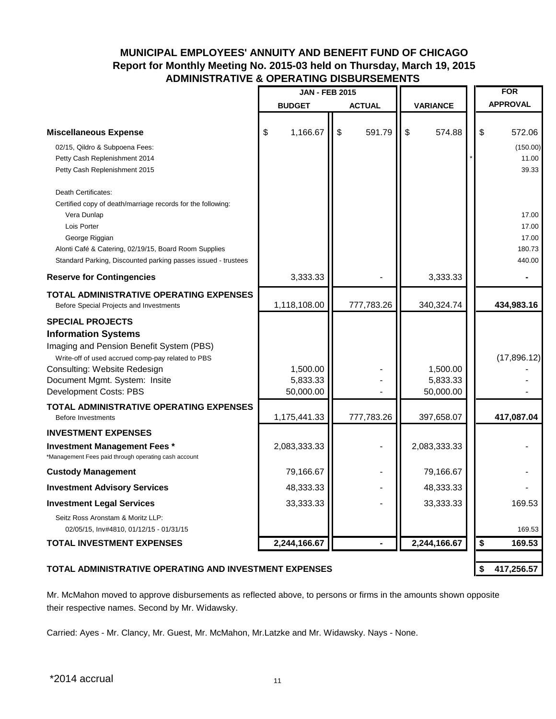# **MUNICIPAL EMPLOYEES' ANNUITY AND BENEFIT FUND OF CHICAGO Report for Monthly Meeting No. 2015-03 held on Thursday, March 19, 2015 ADMINISTRATIVE & OPERATING DISBURSEMENTS**

|                                                                                                                                                                                                                                                              | <b>JAN - FEB 2015</b>             |               |                                   | <b>FOR</b>                                  |
|--------------------------------------------------------------------------------------------------------------------------------------------------------------------------------------------------------------------------------------------------------------|-----------------------------------|---------------|-----------------------------------|---------------------------------------------|
|                                                                                                                                                                                                                                                              | <b>BUDGET</b>                     | <b>ACTUAL</b> | <b>VARIANCE</b>                   | <b>APPROVAL</b>                             |
| <b>Miscellaneous Expense</b>                                                                                                                                                                                                                                 | \$<br>1,166.67                    | \$<br>591.79  | \$<br>574.88                      | \$<br>572.06                                |
| 02/15, Qildro & Subpoena Fees:<br>Petty Cash Replenishment 2014<br>Petty Cash Replenishment 2015                                                                                                                                                             |                                   |               |                                   | (150.00)<br>11.00<br>39.33                  |
| Death Certificates:<br>Certified copy of death/marriage records for the following:<br>Vera Dunlap<br>Lois Porter<br>George Riggian<br>Alonti Café & Catering, 02/19/15, Board Room Supplies<br>Standard Parking, Discounted parking passes issued - trustees |                                   |               |                                   | 17.00<br>17.00<br>17.00<br>180.73<br>440.00 |
| <b>Reserve for Contingencies</b>                                                                                                                                                                                                                             | 3,333.33                          |               | 3,333.33                          |                                             |
| TOTAL ADMINISTRATIVE OPERATING EXPENSES<br>Before Special Projects and Investments                                                                                                                                                                           | 1,118,108.00                      | 777,783.26    | 340,324.74                        | 434,983.16                                  |
| <b>SPECIAL PROJECTS</b><br><b>Information Systems</b><br>Imaging and Pension Benefit System (PBS)<br>Write-off of used accrued comp-pay related to PBS<br>Consulting: Website Redesign<br>Document Mgmt. System: Insite<br>Development Costs: PBS            | 1,500.00<br>5,833.33<br>50,000.00 |               | 1,500.00<br>5,833.33<br>50,000.00 | (17,896.12)                                 |
| TOTAL ADMINISTRATIVE OPERATING EXPENSES<br><b>Before Investments</b>                                                                                                                                                                                         | 1,175,441.33                      | 777,783.26    | 397,658.07                        | 417,087.04                                  |
| <b>INVESTMENT EXPENSES</b><br><b>Investment Management Fees *</b><br>*Management Fees paid through operating cash account                                                                                                                                    | 2,083,333.33                      |               | 2,083,333.33                      |                                             |
| <b>Custody Management</b>                                                                                                                                                                                                                                    | 79,166.67                         |               | 79,166.67                         |                                             |
| <b>Investment Advisory Services</b>                                                                                                                                                                                                                          | 48,333.33                         |               | 48,333.33                         |                                             |
| <b>Investment Legal Services</b><br>Seitz Ross Aronstam & Moritz LLP:<br>02/05/15, Inv#4810, 01/12/15 - 01/31/15                                                                                                                                             | 33,333.33                         |               | 33,333.33                         | 169.53<br>169.53                            |
| <b>TOTAL INVESTMENT EXPENSES</b>                                                                                                                                                                                                                             | 2,244,166.67                      |               | 2,244,166.67                      | \$<br>169.53                                |
| TOTAL ADMINISTRATIVE OPERATING AND INVESTMENT EXPENSES                                                                                                                                                                                                       |                                   |               |                                   | \$<br>417,256.57                            |

Mr. McMahon moved to approve disbursements as reflected above, to persons or firms in the amounts shown opposite their respective names. Second by Mr. Widawsky.

Carried: Ayes - Mr. Clancy, Mr. Guest, Mr. McMahon, Mr.Latzke and Mr. Widawsky. Nays - None.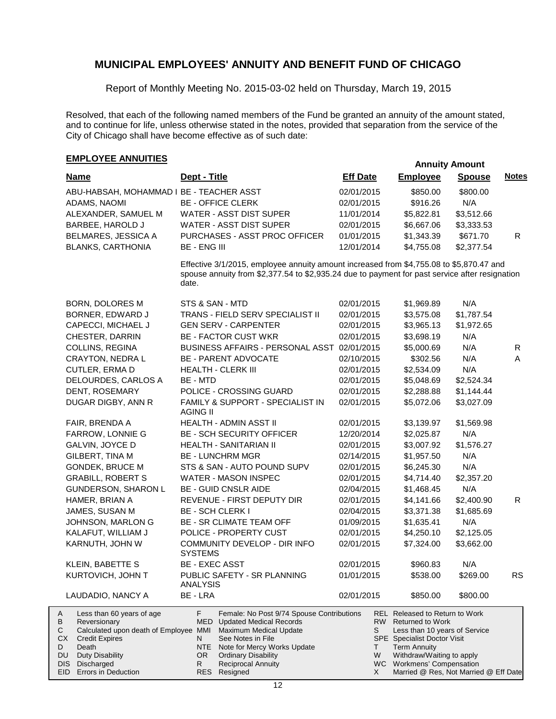Report of Monthly Meeting No. 2015-03-02 held on Thursday, March 19, 2015

Resolved, that each of the following named members of the Fund be granted an annuity of the amount stated, and to continue for life, unless otherwise stated in the notes, provided that separation from the service of the City of Chicago shall have become effective as of such date:

# **EMPLOYEE ANNUITIES**

|                                                                                                                                                |                                                                                                                                                                                           |                 |                                                                                                                                                                | Annuny Annound |              |
|------------------------------------------------------------------------------------------------------------------------------------------------|-------------------------------------------------------------------------------------------------------------------------------------------------------------------------------------------|-----------------|----------------------------------------------------------------------------------------------------------------------------------------------------------------|----------------|--------------|
| <b>Name</b>                                                                                                                                    | Dept - Title                                                                                                                                                                              | <b>Eff Date</b> | <b>Employee</b>                                                                                                                                                | <b>Spouse</b>  | <b>Notes</b> |
| ABU-HABSAH, MOHAMMAD I BE - TEACHER ASST                                                                                                       |                                                                                                                                                                                           | 02/01/2015      | \$850.00                                                                                                                                                       | \$800.00       |              |
| ADAMS, NAOMI                                                                                                                                   | <b>BE - OFFICE CLERK</b>                                                                                                                                                                  | 02/01/2015      | \$916.26                                                                                                                                                       | N/A            |              |
| ALEXANDER, SAMUEL M                                                                                                                            | WATER - ASST DIST SUPER                                                                                                                                                                   | 11/01/2014      | \$5,822.81                                                                                                                                                     | \$3,512.66     |              |
| <b>BARBEE, HAROLD J</b>                                                                                                                        | WATER - ASST DIST SUPER                                                                                                                                                                   | 02/01/2015      | \$6,667.06                                                                                                                                                     | \$3,333.53     |              |
| BELMARES, JESSICA A                                                                                                                            | PURCHASES - ASST PROC OFFICER                                                                                                                                                             | 01/01/2015      | \$1,343.39                                                                                                                                                     | \$671.70       | R.           |
| <b>BLANKS, CARTHONIA</b>                                                                                                                       | <b>BE - ENG III</b>                                                                                                                                                                       | 12/01/2014      | \$4,755.08                                                                                                                                                     | \$2,377.54     |              |
|                                                                                                                                                |                                                                                                                                                                                           |                 |                                                                                                                                                                |                |              |
|                                                                                                                                                | Effective 3/1/2015, employee annuity amount increased from \$4,755.08 to \$5,870.47 and<br>spouse annuity from \$2,377.54 to \$2,935.24 due to payment for past service after resignation |                 |                                                                                                                                                                |                |              |
|                                                                                                                                                | date.                                                                                                                                                                                     |                 |                                                                                                                                                                |                |              |
| BORN, DOLORES M                                                                                                                                | STS & SAN - MTD                                                                                                                                                                           | 02/01/2015      | \$1,969.89                                                                                                                                                     | N/A            |              |
| BORNER, EDWARD J                                                                                                                               | TRANS - FIELD SERV SPECIALIST II                                                                                                                                                          | 02/01/2015      | \$3,575.08                                                                                                                                                     | \$1,787.54     |              |
| CAPECCI, MICHAEL J                                                                                                                             | <b>GEN SERV - CARPENTER</b>                                                                                                                                                               | 02/01/2015      | \$3,965.13                                                                                                                                                     | \$1,972.65     |              |
| CHESTER, DARRIN                                                                                                                                | <b>BE - FACTOR CUST WKR</b>                                                                                                                                                               | 02/01/2015      | \$3,698.19                                                                                                                                                     | N/A            |              |
| COLLINS, REGINA                                                                                                                                | <b>BUSINESS AFFAIRS - PERSONAL ASST</b>                                                                                                                                                   | 02/01/2015      | \$5,000.69                                                                                                                                                     | N/A            | R            |
| CRAYTON, NEDRA L                                                                                                                               | <b>BE - PARENT ADVOCATE</b>                                                                                                                                                               | 02/10/2015      | \$302.56                                                                                                                                                       | N/A            | A            |
| CUTLER, ERMA D                                                                                                                                 | <b>HEALTH - CLERK III</b>                                                                                                                                                                 | 02/01/2015      | \$2,534.09                                                                                                                                                     | N/A            |              |
| DELOURDES, CARLOS A                                                                                                                            | BE - MTD                                                                                                                                                                                  | 02/01/2015      | \$5,048.69                                                                                                                                                     | \$2,524.34     |              |
| DENT, ROSEMARY                                                                                                                                 | POLICE - CROSSING GUARD                                                                                                                                                                   | 02/01/2015      | \$2,288.88                                                                                                                                                     | \$1,144.44     |              |
| DUGAR DIGBY, ANN R                                                                                                                             | FAMILY & SUPPORT - SPECIALIST IN<br><b>AGING II</b>                                                                                                                                       | 02/01/2015      | \$5,072.06                                                                                                                                                     | \$3,027.09     |              |
| FAIR, BRENDA A                                                                                                                                 | HEALTH - ADMIN ASST II                                                                                                                                                                    | 02/01/2015      | \$3,139.97                                                                                                                                                     | \$1,569.98     |              |
| FARROW, LONNIE G                                                                                                                               | <b>BE - SCH SECURITY OFFICER</b>                                                                                                                                                          | 12/20/2014      | \$2,025.87                                                                                                                                                     | N/A            |              |
| GALVIN, JOYCE D                                                                                                                                | HEALTH - SANITARIAN II                                                                                                                                                                    | 02/01/2015      | \$3,007.92                                                                                                                                                     | \$1,576.27     |              |
| GILBERT, TINA M                                                                                                                                | <b>BE - LUNCHRM MGR</b>                                                                                                                                                                   | 02/14/2015      | \$1,957.50                                                                                                                                                     | N/A            |              |
| <b>GONDEK, BRUCE M</b>                                                                                                                         | STS & SAN - AUTO POUND SUPV                                                                                                                                                               | 02/01/2015      | \$6,245.30                                                                                                                                                     | N/A            |              |
| <b>GRABILL, ROBERT S</b>                                                                                                                       | WATER - MASON INSPEC                                                                                                                                                                      | 02/01/2015      | \$4,714.40                                                                                                                                                     | \$2,357.20     |              |
| GUNDERSON, SHARON L                                                                                                                            | <b>BE - GUID CNSLR AIDE</b>                                                                                                                                                               | 02/04/2015      | \$1,468.45                                                                                                                                                     | N/A            |              |
| HAMER, BRIAN A                                                                                                                                 | REVENUE - FIRST DEPUTY DIR                                                                                                                                                                | 02/01/2015      | \$4,141.66                                                                                                                                                     | \$2,400.90     | R.           |
| JAMES, SUSAN M                                                                                                                                 | <b>BE - SCH CLERK I</b>                                                                                                                                                                   | 02/04/2015      | \$3,371.38                                                                                                                                                     | \$1,685.69     |              |
| JOHNSON, MARLON G                                                                                                                              | BE - SR CLIMATE TEAM OFF                                                                                                                                                                  | 01/09/2015      | \$1,635.41                                                                                                                                                     | N/A            |              |
| KALAFUT, WILLIAM J                                                                                                                             | POLICE - PROPERTY CUST                                                                                                                                                                    | 02/01/2015      | \$4,250.10                                                                                                                                                     | \$2,125.05     |              |
| KARNUTH, JOHN W                                                                                                                                | COMMUNITY DEVELOP - DIR INFO                                                                                                                                                              | 02/01/2015      | \$7,324.00                                                                                                                                                     | \$3,662.00     |              |
|                                                                                                                                                | <b>SYSTEMS</b>                                                                                                                                                                            |                 |                                                                                                                                                                |                |              |
| KLEIN, BABETTE S                                                                                                                               | <b>BE - EXEC ASST</b>                                                                                                                                                                     | 02/01/2015      | \$960.83                                                                                                                                                       | N/A            |              |
| KURTOVICH, JOHN T                                                                                                                              | PUBLIC SAFETY - SR PLANNING<br><b>ANALYSIS</b>                                                                                                                                            | 01/01/2015      | \$538.00                                                                                                                                                       | \$269.00       | кs           |
| LAUDADIO, NANCY A                                                                                                                              | BE - LRA                                                                                                                                                                                  | 02/01/2015      | \$850.00                                                                                                                                                       | \$800.00       |              |
| Less than 60 years of age<br>A<br>Reversionary<br>В<br>Calculated upon death of Employee MMI<br>С<br>СX<br><b>Credit Expires</b><br>Death<br>D | F.<br>Female: No Post 9/74 Spouse Contributions<br>MED<br><b>Updated Medical Records</b><br>Maximum Medical Update<br>See Notes in File<br>N<br>Note for Mercy Works Update<br>NTE        | RW  <br>S<br>Τ  | <b>REL</b> Released to Return to Work<br><b>Returned to Work</b><br>Less than 10 years of Service<br><b>SPE</b> Specialist Doctor Visit<br><b>Term Annuity</b> |                |              |
| Duty Disability<br>DU<br>DIS Discharged                                                                                                        | <b>Ordinary Disability</b><br>OR I<br><b>Reciprocal Annuity</b><br>R.                                                                                                                     | W               | Withdraw/Waiting to apply<br>WC Workmens' Compensation                                                                                                         |                |              |
| EID Errors in Deduction                                                                                                                        | RES Resigned                                                                                                                                                                              | X               | Married @ Res, Not Married @ Eff Date                                                                                                                          |                |              |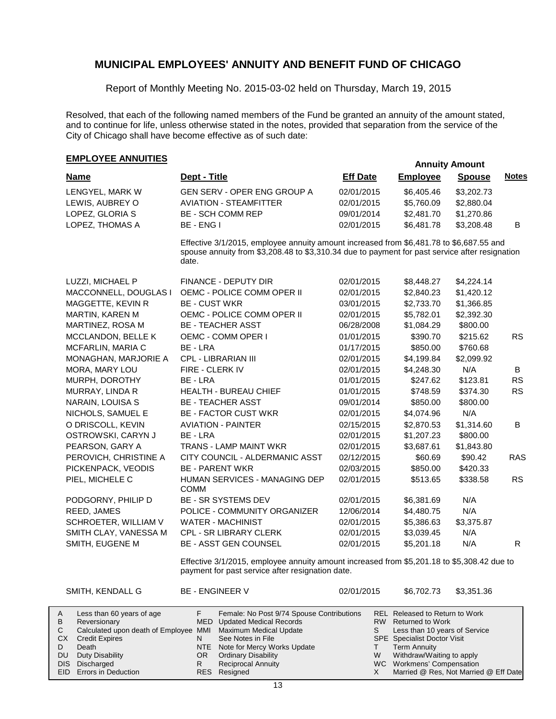Report of Monthly Meeting No. 2015-03-02 held on Thursday, March 19, 2015

Resolved, that each of the following named members of the Fund be granted an annuity of the amount stated, and to continue for life, unless otherwise stated in the notes, provided that separation from the service of the City of Chicago shall have become effective as of such date:

## **EMPLOYEE ANNUITIES**

| <b>Name</b>           | Dept - Title                                                                                                                                                                                       | <b>Eff Date</b> | <b>Employee</b> | <b>Spouse</b> | <b>Notes</b> |
|-----------------------|----------------------------------------------------------------------------------------------------------------------------------------------------------------------------------------------------|-----------------|-----------------|---------------|--------------|
| LENGYEL, MARK W       | GEN SERV - OPER ENG GROUP A                                                                                                                                                                        | 02/01/2015      | \$6,405.46      | \$3,202.73    |              |
| LEWIS, AUBREY O       | <b>AVIATION - STEAMFITTER</b>                                                                                                                                                                      | 02/01/2015      | \$5,760.09      | \$2,880.04    |              |
| LOPEZ, GLORIA S       | <b>BE - SCH COMM REP</b>                                                                                                                                                                           | 09/01/2014      | \$2,481.70      | \$1,270.86    |              |
| LOPEZ, THOMAS A       | BE - ENG I                                                                                                                                                                                         | 02/01/2015      | \$6,481.78      | \$3,208.48    | B            |
|                       | Effective 3/1/2015, employee annuity amount increased from \$6,481.78 to \$6,687.55 and<br>spouse annuity from \$3,208.48 to \$3,310.34 due to payment for past service after resignation<br>date. |                 |                 |               |              |
| LUZZI, MICHAEL P      | FINANCE - DEPUTY DIR                                                                                                                                                                               | 02/01/2015      | \$8,448.27      | \$4,224.14    |              |
| MACCONNELL, DOUGLAS I | OEMC - POLICE COMM OPER II                                                                                                                                                                         | 02/01/2015      | \$2,840.23      | \$1,420.12    |              |
| MAGGETTE, KEVIN R     | <b>BE - CUST WKR</b>                                                                                                                                                                               | 03/01/2015      | \$2,733.70      | \$1,366.85    |              |
| MARTIN, KAREN M       | OEMC - POLICE COMM OPER II                                                                                                                                                                         | 02/01/2015      | \$5,782.01      | \$2,392.30    |              |
| MARTINEZ, ROSA M      | <b>BE - TEACHER ASST</b>                                                                                                                                                                           | 06/28/2008      | \$1,084.29      | \$800.00      |              |
| MCCLANDON, BELLE K    | OEMC - COMM OPER I                                                                                                                                                                                 | 01/01/2015      | \$390.70        | \$215.62      | RS           |
| MCFARLIN, MARIA C     | BE - LRA                                                                                                                                                                                           | 01/17/2015      | \$850.00        | \$760.68      |              |
| MONAGHAN, MARJORIE A  | CPL - LIBRARIAN III                                                                                                                                                                                | 02/01/2015      | \$4,199.84      | \$2,099.92    |              |
| MORA, MARY LOU        | FIRE - CLERK IV                                                                                                                                                                                    | 02/01/2015      | \$4,248.30      | N/A           | B            |
| MURPH, DOROTHY        | BE - LRA                                                                                                                                                                                           | 01/01/2015      | \$247.62        | \$123.81      | <b>RS</b>    |
| MURRAY, LINDA R       | <b>HEALTH - BUREAU CHIEF</b>                                                                                                                                                                       | 01/01/2015      | \$748.59        | \$374.30      | <b>RS</b>    |
| NARAIN, LOUISA S      | <b>BE - TEACHER ASST</b>                                                                                                                                                                           | 09/01/2014      | \$850.00        | \$800.00      |              |
| NICHOLS, SAMUEL E     | <b>BE - FACTOR CUST WKR</b>                                                                                                                                                                        | 02/01/2015      | \$4,074.96      | N/A           |              |
| O DRISCOLL, KEVIN     | <b>AVIATION - PAINTER</b>                                                                                                                                                                          | 02/15/2015      | \$2,870.53      | \$1,314.60    | B            |
| OSTROWSKI, CARYN J    | BE - LRA                                                                                                                                                                                           | 02/01/2015      | \$1,207.23      | \$800.00      |              |
| PEARSON, GARY A       | <b>TRANS - LAMP MAINT WKR</b>                                                                                                                                                                      | 02/01/2015      | \$3,687.61      | \$1,843.80    |              |
| PEROVICH, CHRISTINE A | CITY COUNCIL - ALDERMANIC ASST                                                                                                                                                                     | 02/12/2015      | \$60.69         | \$90.42       | <b>RAS</b>   |
| PICKENPACK, VEODIS    | <b>BE - PARENT WKR</b>                                                                                                                                                                             | 02/03/2015      | \$850.00        | \$420.33      |              |
| PIEL, MICHELE C       | HUMAN SERVICES - MANAGING DEP<br><b>COMM</b>                                                                                                                                                       | 02/01/2015      | \$513.65        | \$338.58      | <b>RS</b>    |
| PODGORNY, PHILIP D    | BE - SR SYSTEMS DEV                                                                                                                                                                                | 02/01/2015      | \$6,381.69      | N/A           |              |
| REED, JAMES           | POLICE - COMMUNITY ORGANIZER                                                                                                                                                                       | 12/06/2014      | \$4,480.75      | N/A           |              |
| SCHROETER, WILLIAM V  | <b>WATER - MACHINIST</b>                                                                                                                                                                           | 02/01/2015      | \$5,386.63      | \$3,375.87    |              |
| SMITH CLAY, VANESSA M | <b>CPL - SR LIBRARY CLERK</b>                                                                                                                                                                      | 02/01/2015      | \$3,039.45      | N/A           |              |
| SMITH, EUGENE M       | BE - ASST GEN COUNSEL                                                                                                                                                                              | 02/01/2015      | \$5,201.18      | N/A           | $\mathsf{R}$ |
|                       | Effective 3/1/2015, employee annuity amount increased from \$5,201.18 to \$5,308.42 due to<br>payment for past service after resignation date.                                                     |                 |                 |               |              |

| A         | Less than 60 years of age                                    |    | Female: No Post 9/74 Spouse Contributions |   | REL Released to Return to Work        |
|-----------|--------------------------------------------------------------|----|-------------------------------------------|---|---------------------------------------|
| B         | Reversionary                                                 |    | MED Updated Medical Records               |   | RW Returned to Work                   |
|           | Calculated upon death of Employee MMI Maximum Medical Update |    |                                           |   | Less than 10 years of Service         |
| СX        | <b>Credit Expires</b>                                        |    | See Notes in File                         |   | <b>SPE</b> Specialist Doctor Visit    |
|           | Death                                                        |    | NTE Note for Mercy Works Update           |   | <b>Term Annuity</b>                   |
| <b>DU</b> | Duty Disability                                              | OR | <b>Ordinary Disability</b>                | W | Withdraw/Waiting to apply             |
|           | DIS Discharged                                               |    | <b>Reciprocal Annuity</b>                 |   | WC Workmens' Compensation             |
|           | EID Errors in Deduction                                      |    | RES Resigned                              |   | Married @ Res, Not Married @ Eff Date |

SMITH, KENDALL G BE - ENGINEER V 02/01/2015 \$6,702.73 \$3,351.36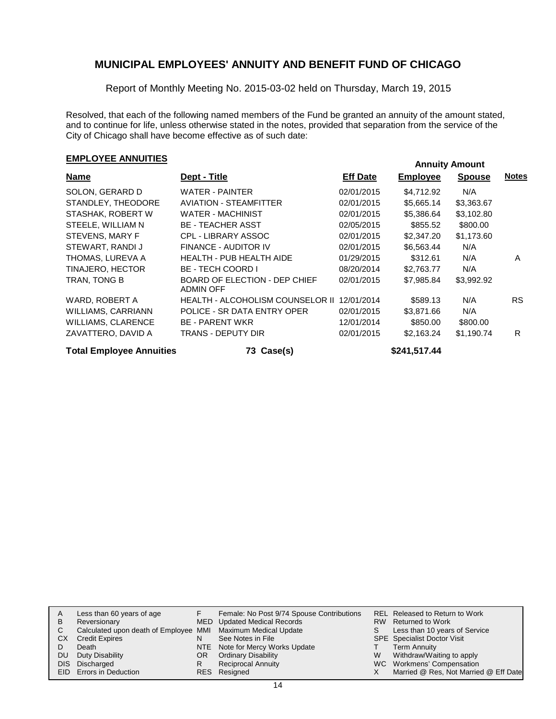Report of Monthly Meeting No. 2015-03-02 held on Thursday, March 19, 2015

Resolved, that each of the following named members of the Fund be granted an annuity of the amount stated, and to continue for life, unless otherwise stated in the notes, provided that separation from the service of the City of Chicago shall have become effective as of such date:

# **EMPLOYEE ANNUITIES**<br> **EMPLOYEE ANNUITIES**

| Name                            | Dept - Title                                      | <b>Eff Date</b> | <b>Employee</b> | <b>Spouse</b> | <b>Notes</b> |
|---------------------------------|---------------------------------------------------|-----------------|-----------------|---------------|--------------|
| SOLON, GERARD D                 | WATER - PAINTER                                   | 02/01/2015      | \$4,712.92      | N/A           |              |
| STANDLEY, THEODORE              | <b>AVIATION - STEAMFITTER</b>                     | 02/01/2015      | \$5,665.14      | \$3,363.67    |              |
| STASHAK, ROBERT W               | <b>WATER - MACHINIST</b>                          | 02/01/2015      | \$5,386.64      | \$3,102.80    |              |
| STEELE, WILLIAM N               | <b>BE - TEACHER ASST</b>                          | 02/05/2015      | \$855.52        | \$800.00      |              |
| STEVENS, MARY F                 | <b>CPL - LIBRARY ASSOC</b>                        | 02/01/2015      | \$2,347.20      | \$1,173.60    |              |
| STEWART, RANDI J                | FINANCE - AUDITOR IV                              | 02/01/2015      | \$6,563.44      | N/A           |              |
| THOMAS, LUREVA A                | <b>HEALTH - PUB HEALTH AIDE</b>                   | 01/29/2015      | \$312.61        | N/A           | A            |
| TINAJERO, HECTOR                | <b>BE - TECH COORD I</b>                          | 08/20/2014      | \$2,763.77      | N/A           |              |
| TRAN, TONG B                    | <b>BOARD OF ELECTION - DEP CHIEF</b><br>ADMIN OFF | 02/01/2015      | \$7,985.84      | \$3,992.92    |              |
| WARD, ROBERT A                  | HEALTH - ALCOHOLISM COUNSELOR II                  | 12/01/2014      | \$589.13        | N/A           | RS.          |
| <b>WILLIAMS, CARRIANN</b>       | POLICE - SR DATA ENTRY OPER                       | 02/01/2015      | \$3,871.66      | N/A           |              |
| <b>WILLIAMS, CLARENCE</b>       | <b>BE - PARENT WKR</b>                            | 12/01/2014      | \$850.00        | \$800.00      |              |
| ZAVATTERO, DAVID A              | TRANS - DEPUTY DIR                                | 02/01/2015      | \$2,163.24      | \$1,190.74    | R            |
| <b>Total Employee Annuities</b> | 73 Case(s)                                        |                 | \$241,517.44    |               |              |

|      | Less than 60 years of age                                    |    | Female: No Post 9/74 Spouse Contributions |   | REL Released to Return to Work        |
|------|--------------------------------------------------------------|----|-------------------------------------------|---|---------------------------------------|
| B    | Reversionary                                                 |    | MED Updated Medical Records               |   | RW Returned to Work                   |
| С    | Calculated upon death of Employee MMI Maximum Medical Update |    |                                           | S | Less than 10 years of Service         |
| СX   | <b>Credit Expires</b>                                        | N  | See Notes in File                         |   | <b>SPE</b> Specialist Doctor Visit    |
|      | Death                                                        |    | NTE Note for Mercy Works Update           |   | <b>Term Annuity</b>                   |
| DU   | Duty Disability                                              | OR | <b>Ordinary Disability</b>                | W | Withdraw/Waiting to apply             |
| DIS. | Discharged                                                   | R  | <b>Reciprocal Annuity</b>                 |   | WC Workmens' Compensation             |
|      | EID Errors in Deduction                                      |    | RES Resigned                              |   | Married @ Res, Not Married @ Eff Date |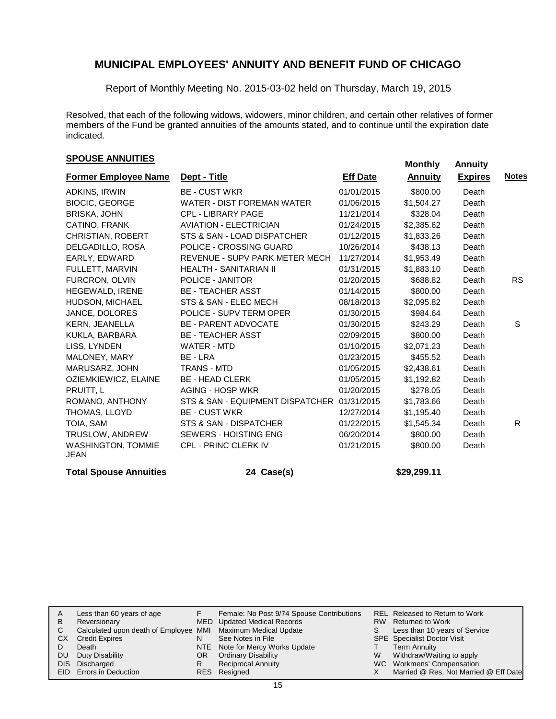Report of Monthly Meeting No. 2015-03-02 held on Thursday, March 19, 2015

Resolved, that each of the following widows, widowers, minor children, and certain other relatives of former members of the Fund be granted annuities of the amounts stated, and to continue until the expiration date indicated.

# **SPOUSE ANNUITIES**<br> **SPOUSE ANNUITIES**

| <b>Former Employee Name</b>              | Dept - Title                      | <b>Eff Date</b> | <b>Annuity</b> | <b>Expires</b> | <b>Notes</b> |
|------------------------------------------|-----------------------------------|-----------------|----------------|----------------|--------------|
| ADKINS, IRWIN                            | <b>BE - CUST WKR</b>              | 01/01/2015      | \$800.00       | Death          |              |
| <b>BIOCIC, GEORGE</b>                    | <b>WATER - DIST FOREMAN WATER</b> | 01/06/2015      | \$1,504.27     | Death          |              |
| <b>BRISKA, JOHN</b>                      | <b>CPL - LIBRARY PAGE</b>         | 11/21/2014      | \$328.04       | Death          |              |
| CATINO, FRANK                            | <b>AVIATION - ELECTRICIAN</b>     | 01/24/2015      | \$2,385.62     | Death          |              |
| CHRISTIAN, ROBERT                        | STS & SAN - LOAD DISPATCHER       | 01/12/2015      | \$1,833.26     | Death          |              |
| DELGADILLO, ROSA                         | POLICE - CROSSING GUARD           | 10/26/2014      | \$438.13       | Death          |              |
| EARLY, EDWARD                            | REVENUE - SUPV PARK METER MECH    | 11/27/2014      | \$1,953.49     | Death          |              |
| FULLETT, MARVIN                          | <b>HEALTH - SANITARIAN II</b>     | 01/31/2015      | \$1,883.10     | Death          |              |
| FURCRON, OLVIN                           | POLICE - JANITOR                  | 01/20/2015      | \$688.82       | Death          | RS.          |
| HEGEWALD, IRENE                          | <b>BE - TEACHER ASST</b>          | 01/14/2015      | \$800.00       | Death          |              |
| HUDSON, MICHAEL                          | STS & SAN - ELEC MECH             | 08/18/2013      | \$2,095.82     | Death          |              |
| JANCE, DOLORES                           | POLICE - SUPV TERM OPER           | 01/30/2015      | \$984.64       | Death          |              |
| <b>KERN, JEANELLA</b>                    | <b>BE - PARENT ADVOCATE</b>       | 01/30/2015      | \$243.29       | Death          | S            |
| KUKLA, BARBARA                           | <b>BE - TEACHER ASST</b>          | 02/09/2015      | \$800.00       | Death          |              |
| LISS, LYNDEN                             | WATER - MTD                       | 01/10/2015      | \$2,071.23     | Death          |              |
| MALONEY, MARY                            | BE - LRA                          | 01/23/2015      | \$455.52       | Death          |              |
| MARUSARZ, JOHN                           | <b>TRANS - MTD</b>                | 01/05/2015      | \$2,438.61     | Death          |              |
| OZIEMKIEWICZ, ELAINE                     | <b>BE - HEAD CLERK</b>            | 01/05/2015      | \$1,192.82     | Death          |              |
| PRUITT, L                                | AGING - HOSP WKR                  | 01/20/2015      | \$278.05       | Death          |              |
| ROMANO, ANTHONY                          | STS & SAN - EQUIPMENT DISPATCHER  | 01/31/2015      | \$1,783.66     | Death          |              |
| THOMAS, LLOYD                            | <b>BE - CUST WKR</b>              | 12/27/2014      | \$1,195.40     | Death          |              |
| TOIA, SAM                                | STS & SAN - DISPATCHER            | 01/22/2015      | \$1,545.34     | Death          | R            |
| TRUSLOW, ANDREW                          | <b>SEWERS - HOISTING ENG</b>      | 06/20/2014      | \$800.00       | Death          |              |
| <b>WASHINGTON, TOMMIE</b><br><b>JEAN</b> | <b>CPL - PRINC CLERK IV</b>       | 01/21/2015      | \$800.00       | Death          |              |
| <b>Total Spouse Annuities</b>            | 24 Case(s)                        |                 | \$29,299.11    |                |              |

| A   | Less than 60 years of age                                    |    | Female: No Post 9/74 Spouse Contributions |    | REL Released to Return to Work        |
|-----|--------------------------------------------------------------|----|-------------------------------------------|----|---------------------------------------|
| в   | Reversionary                                                 |    | MED Updated Medical Records               |    | RW Returned to Work                   |
| C   | Calculated upon death of Employee MMI Maximum Medical Update |    |                                           | S. | Less than 10 years of Service         |
| СX  | <b>Credit Expires</b>                                        | N  | See Notes in File                         |    | <b>SPE</b> Specialist Doctor Visit    |
|     | Death                                                        |    | NTE Note for Mercy Works Update           |    | Term Annuity                          |
| DU. | Duty Disability                                              | OR | <b>Ordinary Disability</b>                | W  | Withdraw/Waiting to apply             |
|     | DIS Discharged                                               | R  | <b>Reciprocal Annuity</b>                 |    | WC Workmens' Compensation             |
|     | EID Errors in Deduction                                      |    | RES Resigned                              |    | Married @ Res, Not Married @ Eff Date |
|     |                                                              |    |                                           |    |                                       |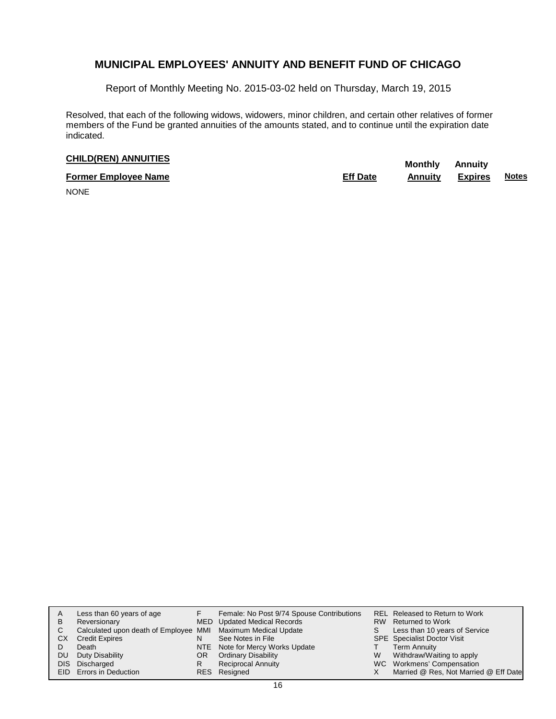Report of Monthly Meeting No. 2015-03-02 held on Thursday, March 19, 2015

Resolved, that each of the following widows, widowers, minor children, and certain other relatives of former members of the Fund be granted annuities of the amounts stated, and to continue until the expiration date indicated.

# **CHILD(REN) ANNUITIES Monthly** Annuity

| <b>Former Employee Name</b> | <b>Eff Date</b> | Annuitv | <b>Expires</b> | <b>Notes</b> |
|-----------------------------|-----------------|---------|----------------|--------------|
| $\cdots$                    |                 |         |                |              |

NONE

| в<br>С<br>CХ<br>DU<br>DIS. | Less than 60 years of age<br>Reversionary<br>Calculated upon death of Employee MMI Maximum Medical Update<br><b>Credit Expires</b><br>Death<br>Duty Disability<br>Discharged<br><b>EID</b> Errors in Deduction | N<br>OR<br>R | Female: No Post 9/74 Spouse Contributions<br>MED Updated Medical Records<br>See Notes in File<br>NTE Note for Mercy Works Update<br><b>Ordinary Disability</b><br><b>Reciprocal Annuity</b><br>RES Resigned | S.<br>W | REL Released to Return to Work<br>RW Returned to Work<br>Less than 10 years of Service<br><b>SPE</b> Specialist Doctor Visit<br><b>Term Annuity</b><br>Withdraw/Waiting to apply<br>WC Workmens' Compensation<br>Married @ Res, Not Married @ Eff Date |
|----------------------------|----------------------------------------------------------------------------------------------------------------------------------------------------------------------------------------------------------------|--------------|-------------------------------------------------------------------------------------------------------------------------------------------------------------------------------------------------------------|---------|--------------------------------------------------------------------------------------------------------------------------------------------------------------------------------------------------------------------------------------------------------|
|----------------------------|----------------------------------------------------------------------------------------------------------------------------------------------------------------------------------------------------------------|--------------|-------------------------------------------------------------------------------------------------------------------------------------------------------------------------------------------------------------|---------|--------------------------------------------------------------------------------------------------------------------------------------------------------------------------------------------------------------------------------------------------------|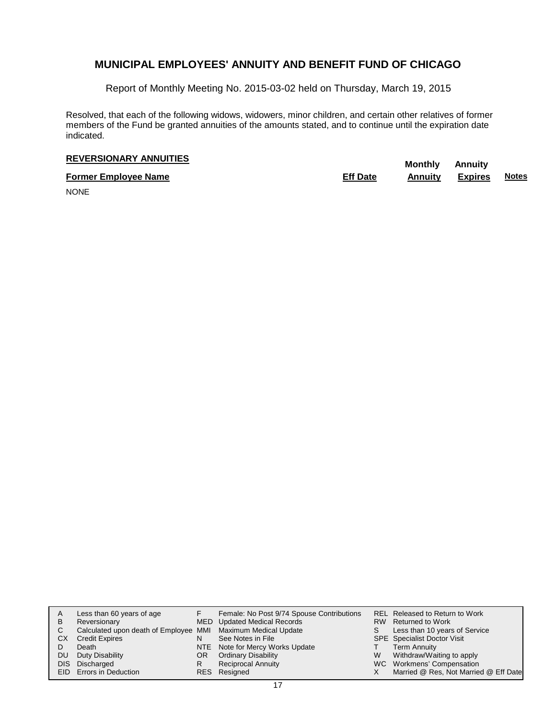Report of Monthly Meeting No. 2015-03-02 held on Thursday, March 19, 2015

Resolved, that each of the following widows, widowers, minor children, and certain other relatives of former members of the Fund be granted annuities of the amounts stated, and to continue until the expiration date indicated.

# **REVERSIONARY ANNUITIES**<br> **REVERSIONARY ANNUITIES**

**Former Employee Name Eff Date Annuity Expires Notes**

NONE

| A    | Less than 60 years of age                                    |     | Female: No Post 9/74 Spouse Contributions |   | REL Released to Return to Work        |
|------|--------------------------------------------------------------|-----|-------------------------------------------|---|---------------------------------------|
| в    | Reversionary                                                 |     | MED Updated Medical Records               |   | RW Returned to Work                   |
| С    | Calculated upon death of Employee MMI Maximum Medical Update |     |                                           | S | Less than 10 years of Service         |
| CХ   | <b>Credit Expires</b>                                        | N   | See Notes in File                         |   | <b>SPE</b> Specialist Doctor Visit    |
|      | Death                                                        |     | NTE Note for Mercy Works Update           |   | <b>Term Annuity</b>                   |
| DU   | Duty Disability                                              | OR. | <b>Ordinary Disability</b>                | W | Withdraw/Waiting to apply             |
| DIS. | Discharged                                                   | R   | <b>Reciprocal Annuity</b>                 |   | WC Workmens' Compensation             |
|      | <b>EID</b> Errors in Deduction                               |     | RES Resigned                              |   | Married @ Res, Not Married @ Eff Date |
|      |                                                              |     |                                           |   |                                       |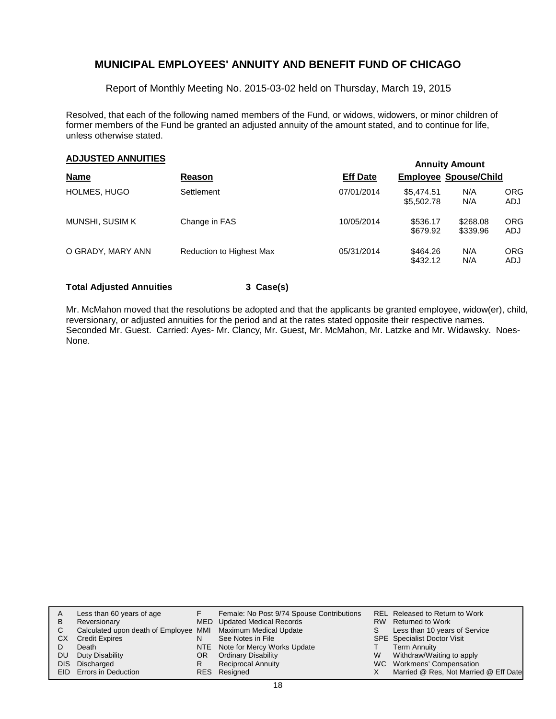Report of Monthly Meeting No. 2015-03-02 held on Thursday, March 19, 2015

Resolved, that each of the following named members of the Fund, or widows, widowers, or minor children of former members of the Fund be granted an adjusted annuity of the amount stated, and to continue for life, unless otherwise stated.

# **Annuity Amount ADJUSTED ANNUITIES**

|                   |                                 |                 |                              | AURUS AUVUR          |                   |
|-------------------|---------------------------------|-----------------|------------------------------|----------------------|-------------------|
| <b>Name</b>       | Reason                          | <b>Eff Date</b> | <b>Employee Spouse/Child</b> |                      |                   |
| HOLMES, HUGO      | Settlement                      | 07/01/2014      | \$5.474.51<br>\$5,502.78     | N/A<br>N/A           | <b>ORG</b><br>ADJ |
| MUNSHI, SUSIM K   | Change in FAS                   | 10/05/2014      | \$536.17<br>\$679.92         | \$268.08<br>\$339.96 | <b>ORG</b><br>ADJ |
| O GRADY, MARY ANN | <b>Reduction to Highest Max</b> | 05/31/2014      | \$464.26<br>\$432.12         | N/A<br>N/A           | ORG<br>ADJ        |

#### **Total Adjusted Annuities 3 Case(s)**

Mr. McMahon moved that the resolutions be adopted and that the applicants be granted employee, widow(er), child, reversionary, or adjusted annuities for the period and at the rates stated opposite their respective names. Seconded Mr. Guest. Carried: Ayes- Mr. Clancy, Mr. Guest, Mr. McMahon, Mr. Latzke and Mr. Widawsky. Noes-None.

| Α  | Less than 60 years of age                                    |    | Female: No Post 9/74 Spouse Contributions |    | REL Released to Return to Work        |
|----|--------------------------------------------------------------|----|-------------------------------------------|----|---------------------------------------|
| В  | Reversionary                                                 |    | MED Updated Medical Records               |    | RW Returned to Work                   |
|    | Calculated upon death of Employee MMI Maximum Medical Update |    |                                           | S. | Less than 10 years of Service         |
| CХ | <b>Credit Expires</b>                                        | N  | See Notes in File                         |    | <b>SPE</b> Specialist Doctor Visit    |
|    | Death                                                        |    | NTE Note for Mercy Works Update           |    | <b>Term Annuity</b>                   |
| DU | Duty Disability                                              | OR | <b>Ordinary Disability</b>                | W  | Withdraw/Waiting to apply             |
|    | DIS Discharged                                               | R  | <b>Reciprocal Annuity</b>                 |    | WC Workmens' Compensation             |
|    | <b>EID</b> Errors in Deduction                               |    | RES Resigned                              |    | Married @ Res, Not Married @ Eff Date |
|    |                                                              |    |                                           |    |                                       |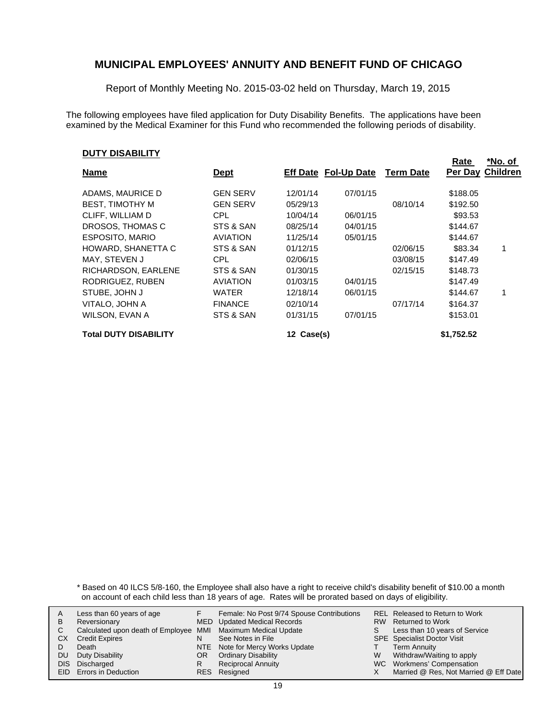Report of Monthly Meeting No. 2015-03-02 held on Thursday, March 19, 2015

The following employees have filed application for Duty Disability Benefits. The applications have been examined by the Medical Examiner for this Fund who recommended the following periods of disability.

#### **DUTY DISABILITY**

| ו ובוטאטוע ו וטע             |                 |            |                                       |          | Rate       | *No. of                 |
|------------------------------|-----------------|------------|---------------------------------------|----------|------------|-------------------------|
| <b>Name</b>                  | <u>Dept</u>     |            | <b>Eff Date Fol-Up Date Term Date</b> |          |            | <b>Per Day Children</b> |
| ADAMS, MAURICE D             | <b>GEN SERV</b> | 12/01/14   | 07/01/15                              |          | \$188.05   |                         |
| <b>BEST, TIMOTHY M</b>       | <b>GEN SERV</b> | 05/29/13   |                                       | 08/10/14 | \$192.50   |                         |
| CLIFF, WILLIAM D             | CPL.            | 10/04/14   | 06/01/15                              |          | \$93.53    |                         |
| DROSOS, THOMAS C             | STS & SAN       | 08/25/14   | 04/01/15                              |          | \$144.67   |                         |
| <b>ESPOSITO, MARIO</b>       | <b>AVIATION</b> | 11/25/14   | 05/01/15                              |          | \$144.67   |                         |
| HOWARD, SHANETTA C           | STS & SAN       | 01/12/15   |                                       | 02/06/15 | \$83.34    |                         |
| MAY, STEVEN J                | CPL.            | 02/06/15   |                                       | 03/08/15 | \$147.49   |                         |
| RICHARDSON, EARLENE          | STS & SAN       | 01/30/15   |                                       | 02/15/15 | \$148.73   |                         |
| RODRIGUEZ, RUBEN             | <b>AVIATION</b> | 01/03/15   | 04/01/15                              |          | \$147.49   |                         |
| STUBE, JOHN J                | <b>WATER</b>    | 12/18/14   | 06/01/15                              |          | \$144.67   |                         |
| VITALO, JOHN A               | <b>FINANCE</b>  | 02/10/14   |                                       | 07/17/14 | \$164.37   |                         |
| WILSON, EVAN A               | STS & SAN       | 01/31/15   | 07/01/15                              |          | \$153.01   |                         |
| <b>Total DUTY DISABILITY</b> |                 | 12 Case(s) |                                       |          | \$1,752.52 |                         |

\* Based on 40 ILCS 5/8-160, the Employee shall also have a right to receive child's disability benefit of \$10.00 a month on account of each child less than 18 years of age. Rates will be prorated based on days of eligibility.

|                       |                                                                                               |                           |                                                                                                                                                                                                                           | REL Released to Return to Work        |
|-----------------------|-----------------------------------------------------------------------------------------------|---------------------------|---------------------------------------------------------------------------------------------------------------------------------------------------------------------------------------------------------------------------|---------------------------------------|
|                       |                                                                                               |                           |                                                                                                                                                                                                                           |                                       |
|                       |                                                                                               |                           |                                                                                                                                                                                                                           | RW Returned to Work                   |
|                       |                                                                                               |                           |                                                                                                                                                                                                                           | Less than 10 years of Service         |
| <b>Credit Expires</b> | N                                                                                             | See Notes in File         |                                                                                                                                                                                                                           | <b>SPE</b> Specialist Doctor Visit    |
| Death                 |                                                                                               |                           |                                                                                                                                                                                                                           | <b>Term Annuity</b>                   |
| Duty Disability       | OR                                                                                            |                           | W                                                                                                                                                                                                                         | Withdraw/Waiting to apply             |
|                       | R                                                                                             | <b>Reciprocal Annuity</b> |                                                                                                                                                                                                                           | WC Workmens' Compensation             |
|                       |                                                                                               |                           |                                                                                                                                                                                                                           | Married @ Res, Not Married @ Eff Date |
|                       | Less than 60 years of age<br>Reversionary<br>DIS Discharged<br><b>EID</b> Errors in Deduction |                           | Female: No Post 9/74 Spouse Contributions<br>MED Updated Medical Records<br>Calculated upon death of Employee MMI Maximum Medical Update<br>NTE Note for Mercy Works Update<br><b>Ordinary Disability</b><br>RES Resigned |                                       |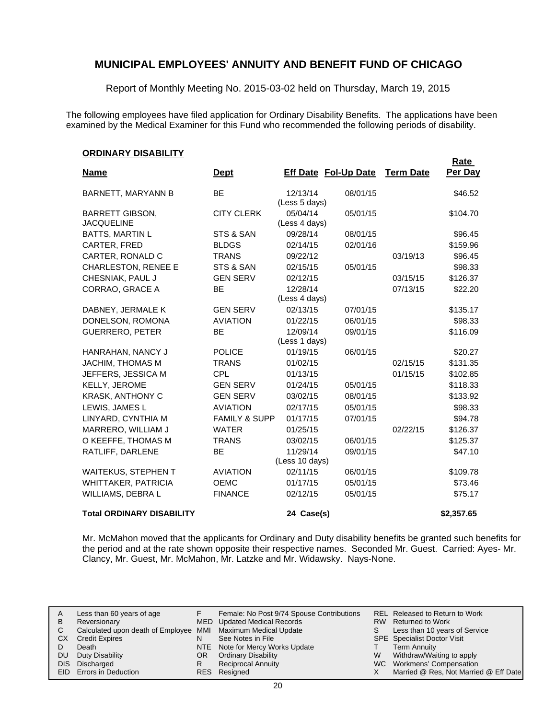Report of Monthly Meeting No. 2015-03-02 held on Thursday, March 19, 2015

The following employees have filed application for Ordinary Disability Benefits. The applications have been examined by the Medical Examiner for this Fund who recommended the following periods of disability.

#### **ORDINARY DISABILITY**

| <u>UNDINANT DIJADILITT</u>                  |                          |                           |                             |                  | Rate       |
|---------------------------------------------|--------------------------|---------------------------|-----------------------------|------------------|------------|
| <b>Name</b>                                 | <b>Dept</b>              |                           | <b>Eff Date Fol-Up Date</b> | <b>Term Date</b> | Per Day    |
| <b>BARNETT, MARYANN B</b>                   | <b>BE</b>                | 12/13/14                  | 08/01/15                    |                  | \$46.52    |
|                                             |                          | (Less 5 days)             |                             |                  |            |
| <b>BARRETT GIBSON,</b><br><b>JACQUELINE</b> | <b>CITY CLERK</b>        | 05/04/14<br>(Less 4 days) | 05/01/15                    |                  | \$104.70   |
| <b>BATTS, MARTIN L</b>                      | STS & SAN                | 09/28/14                  | 08/01/15                    |                  | \$96.45    |
| CARTER, FRED                                | <b>BLDGS</b>             | 02/14/15                  | 02/01/16                    |                  | \$159.96   |
| CARTER, RONALD C                            | <b>TRANS</b>             | 09/22/12                  |                             | 03/19/13         | \$96.45    |
| <b>CHARLESTON, RENEE E</b>                  | STS & SAN                | 02/15/15                  | 05/01/15                    |                  | \$98.33    |
| CHESNIAK, PAUL J                            | <b>GEN SERV</b>          | 02/12/15                  |                             | 03/15/15         | \$126.37   |
| CORRAO, GRACE A                             | BE                       | 12/28/14                  |                             | 07/13/15         | \$22.20    |
|                                             |                          | (Less 4 days)             |                             |                  |            |
| DABNEY, JERMALE K                           | <b>GEN SERV</b>          | 02/13/15                  | 07/01/15                    |                  | \$135.17   |
| DONELSON, ROMONA                            | <b>AVIATION</b>          | 01/22/15                  | 06/01/15                    |                  | \$98.33    |
| <b>GUERRERO, PETER</b>                      | <b>BE</b>                | 12/09/14                  | 09/01/15                    |                  | \$116.09   |
|                                             |                          | (Less 1 days)             |                             |                  |            |
| HANRAHAN, NANCY J                           | <b>POLICE</b>            | 01/19/15                  | 06/01/15                    |                  | \$20.27    |
| <b>JACHIM, THOMAS M</b>                     | <b>TRANS</b>             | 01/02/15                  |                             | 02/15/15         | \$131.35   |
| JEFFERS, JESSICA M                          | <b>CPL</b>               | 01/13/15                  |                             | 01/15/15         | \$102.85   |
| KELLY, JEROME                               | <b>GEN SERV</b>          | 01/24/15                  | 05/01/15                    |                  | \$118.33   |
| <b>KRASK, ANTHONY C</b>                     | <b>GEN SERV</b>          | 03/02/15                  | 08/01/15                    |                  | \$133.92   |
| LEWIS, JAMES L                              | <b>AVIATION</b>          | 02/17/15                  | 05/01/15                    |                  | \$98.33    |
| LINYARD, CYNTHIA M                          | <b>FAMILY &amp; SUPP</b> | 01/17/15                  | 07/01/15                    |                  | \$94.78    |
| MARRERO, WILLIAM J                          | <b>WATER</b>             | 01/25/15                  |                             | 02/22/15         | \$126.37   |
| O KEEFFE, THOMAS M                          | <b>TRANS</b>             | 03/02/15                  | 06/01/15                    |                  | \$125.37   |
| RATLIFF, DARLENE                            | <b>BE</b>                | 11/29/14                  | 09/01/15                    |                  | \$47.10    |
|                                             |                          | (Less 10 days)            |                             |                  |            |
| <b>WAITEKUS, STEPHEN T</b>                  | <b>AVIATION</b>          | 02/11/15                  | 06/01/15                    |                  | \$109.78   |
| <b>WHITTAKER, PATRICIA</b>                  | <b>OEMC</b>              | 01/17/15                  | 05/01/15                    |                  | \$73.46    |
| WILLIAMS, DEBRA L                           | <b>FINANCE</b>           | 02/12/15                  | 05/01/15                    |                  | \$75.17    |
| <b>Total ORDINARY DISABILITY</b>            |                          | 24 Case(s)                |                             |                  | \$2,357.65 |

Mr. McMahon moved that the applicants for Ordinary and Duty disability benefits be granted such benefits for the period and at the rate shown opposite their respective names. Seconded Mr. Guest. Carried: Ayes- Mr. Clancy, Mr. Guest, Mr. McMahon, Mr. Latzke and Mr. Widawsky. Nays-None.

| A   | Less than 60 years of age                                    |     | Female: No Post 9/74 Spouse Contributions |   | REL Released to Return to Work        |
|-----|--------------------------------------------------------------|-----|-------------------------------------------|---|---------------------------------------|
| B   | Reversionary                                                 |     | MED Updated Medical Records               |   | RW Returned to Work                   |
|     | Calculated upon death of Employee MMI Maximum Medical Update |     |                                           | S | Less than 10 years of Service         |
| CХ  | <b>Credit Expires</b>                                        | N   | See Notes in File                         |   | <b>SPE</b> Specialist Doctor Visit    |
|     | Death                                                        |     | NTE Note for Mercy Works Update           |   | Term Annuity                          |
| DU. | Duty Disability                                              | OR. | <b>Ordinary Disability</b>                | W | Withdraw/Waiting to apply             |
|     | DIS Discharged                                               |     | <b>Reciprocal Annuity</b>                 |   | WC Workmens' Compensation             |
|     | EID Errors in Deduction                                      |     | RES Resigned                              |   | Married @ Res, Not Married @ Eff Date |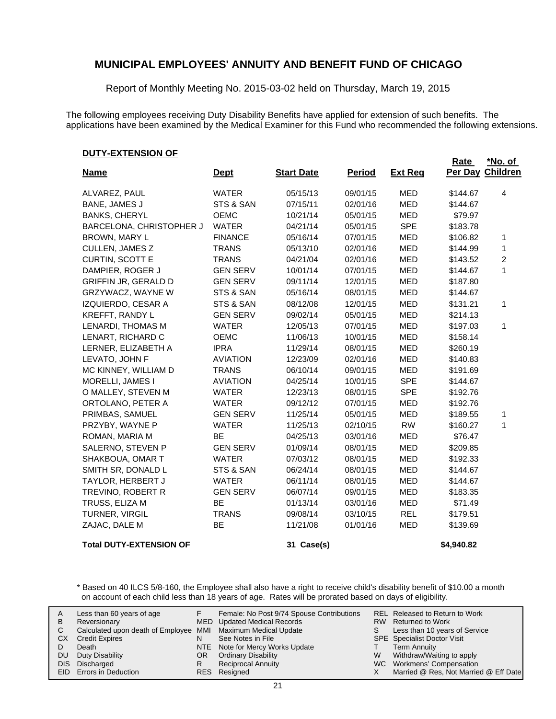Report of Monthly Meeting No. 2015-03-02 held on Thursday, March 19, 2015

The following employees receiving Duty Disability Benefits have applied for extension of such benefits. The applications have been examined by the Medical Examiner for this Fund who recommended the following extensions.

#### **DUTY-EXTENSION OF**

| <b>Name</b>                    | <b>Dept</b>     | <b>Start Date</b> | <b>Period</b> | <b>Ext Req</b> | Rate<br>Per Day | <u>*No. of</u><br><b>Children</b> |
|--------------------------------|-----------------|-------------------|---------------|----------------|-----------------|-----------------------------------|
|                                |                 |                   |               |                |                 |                                   |
| ALVAREZ, PAUL                  | <b>WATER</b>    | 05/15/13          | 09/01/15      | <b>MED</b>     | \$144.67        | 4                                 |
| <b>BANE, JAMES J</b>           | STS & SAN       | 07/15/11          | 02/01/16      | <b>MED</b>     | \$144.67        |                                   |
| <b>BANKS, CHERYL</b>           | OEMC            | 10/21/14          | 05/01/15      | <b>MED</b>     | \$79.97         |                                   |
| BARCELONA, CHRISTOPHER J       | <b>WATER</b>    | 04/21/14          | 05/01/15      | <b>SPE</b>     | \$183.78        |                                   |
| <b>BROWN, MARY L</b>           | <b>FINANCE</b>  | 05/16/14          | 07/01/15      | <b>MED</b>     | \$106.82        | 1                                 |
| CULLEN, JAMES Z                | <b>TRANS</b>    | 05/13/10          | 02/01/16      | MED            | \$144.99        | 1                                 |
| <b>CURTIN, SCOTT E</b>         | <b>TRANS</b>    | 04/21/04          | 02/01/16      | <b>MED</b>     | \$143.52        | 2                                 |
| DAMPIER, ROGER J               | <b>GEN SERV</b> | 10/01/14          | 07/01/15      | <b>MED</b>     | \$144.67        | 1                                 |
| <b>GRIFFIN JR, GERALD D</b>    | <b>GEN SERV</b> | 09/11/14          | 12/01/15      | <b>MED</b>     | \$187.80        |                                   |
| GRZYWACZ, WAYNE W              | STS & SAN       | 05/16/14          | 08/01/15      | <b>MED</b>     | \$144.67        |                                   |
| IZQUIERDO, CESAR A             | STS & SAN       | 08/12/08          | 12/01/15      | MED            | \$131.21        | 1                                 |
| <b>KREFFT, RANDY L</b>         | <b>GEN SERV</b> | 09/02/14          | 05/01/15      | <b>MED</b>     | \$214.13        |                                   |
| LENARDI, THOMAS M              | <b>WATER</b>    | 12/05/13          | 07/01/15      | <b>MED</b>     | \$197.03        | 1                                 |
| LENART, RICHARD C              | OEMC            | 11/06/13          | 10/01/15      | <b>MED</b>     | \$158.14        |                                   |
| LERNER, ELIZABETH A            | <b>IPRA</b>     | 11/29/14          | 08/01/15      | <b>MED</b>     | \$260.19        |                                   |
| LEVATO, JOHN F                 | <b>AVIATION</b> | 12/23/09          | 02/01/16      | <b>MED</b>     | \$140.83        |                                   |
| MC KINNEY, WILLIAM D           | <b>TRANS</b>    | 06/10/14          | 09/01/15      | <b>MED</b>     | \$191.69        |                                   |
| MORELLI, JAMES I               | <b>AVIATION</b> | 04/25/14          | 10/01/15      | <b>SPE</b>     | \$144.67        |                                   |
| O MALLEY, STEVEN M             | <b>WATER</b>    | 12/23/13          | 08/01/15      | <b>SPE</b>     | \$192.76        |                                   |
| ORTOLANO, PETER A              | <b>WATER</b>    | 09/12/12          | 07/01/15      | <b>MED</b>     | \$192.76        |                                   |
| PRIMBAS, SAMUEL                | <b>GEN SERV</b> | 11/25/14          | 05/01/15      | <b>MED</b>     | \$189.55        | 1                                 |
| PRZYBY, WAYNE P                | <b>WATER</b>    | 11/25/13          | 02/10/15      | <b>RW</b>      | \$160.27        | 1                                 |
| ROMAN, MARIA M                 | <b>BE</b>       | 04/25/13          | 03/01/16      | <b>MED</b>     | \$76.47         |                                   |
| SALERNO, STEVEN P              | <b>GEN SERV</b> | 01/09/14          | 08/01/15      | <b>MED</b>     | \$209.85        |                                   |
| SHAKBOUA, OMAR T               | <b>WATER</b>    | 07/03/12          | 08/01/15      | <b>MED</b>     | \$192.33        |                                   |
| SMITH SR, DONALD L             | STS & SAN       | 06/24/14          | 08/01/15      | <b>MED</b>     | \$144.67        |                                   |
| TAYLOR, HERBERT J              | <b>WATER</b>    | 06/11/14          | 08/01/15      | <b>MED</b>     | \$144.67        |                                   |
| TREVINO, ROBERT R              | <b>GEN SERV</b> | 06/07/14          | 09/01/15      | <b>MED</b>     | \$183.35        |                                   |
| TRUSS, ELIZA M                 | BE              | 01/13/14          | 03/01/16      | <b>MED</b>     | \$71.49         |                                   |
| TURNER, VIRGIL                 | <b>TRANS</b>    | 09/08/14          | 03/10/15      | <b>REL</b>     | \$179.51        |                                   |
| ZAJAC, DALE M                  | <b>BE</b>       | 11/21/08          | 01/01/16      | <b>MED</b>     | \$139.69        |                                   |
| <b>Total DUTY-EXTENSION OF</b> |                 | 31 Case(s)        |               |                | \$4,940.82      |                                   |

\* Based on 40 ILCS 5/8-160, the Employee shall also have a right to receive child's disability benefit of \$10.00 a month on account of each child less than 18 years of age. Rates will be prorated based on days of eligibility.

| A<br>в<br>СX<br>DU | Less than 60 years of age<br>Reversionary<br>Calculated upon death of Employee MMI Maximum Medical Update<br><b>Credit Expires</b><br>Death<br>Duty Disability<br>DIS Discharged<br><b>EID</b> Errors in Deduction | N<br>OR | Female: No Post 9/74 Spouse Contributions<br>MED Updated Medical Records<br>See Notes in File<br>NTE Note for Mercy Works Update<br><b>Ordinary Disability</b><br><b>Reciprocal Annuity</b><br>RES Resigned | S.<br>W | REL Released to Return to Work<br>RW Returned to Work<br>Less than 10 years of Service<br><b>SPE</b> Specialist Doctor Visit<br><b>Term Annuity</b><br>Withdraw/Waiting to apply<br>WC Workmens' Compensation<br>Married @ Res, Not Married @ Eff Date |
|--------------------|--------------------------------------------------------------------------------------------------------------------------------------------------------------------------------------------------------------------|---------|-------------------------------------------------------------------------------------------------------------------------------------------------------------------------------------------------------------|---------|--------------------------------------------------------------------------------------------------------------------------------------------------------------------------------------------------------------------------------------------------------|
|--------------------|--------------------------------------------------------------------------------------------------------------------------------------------------------------------------------------------------------------------|---------|-------------------------------------------------------------------------------------------------------------------------------------------------------------------------------------------------------------|---------|--------------------------------------------------------------------------------------------------------------------------------------------------------------------------------------------------------------------------------------------------------|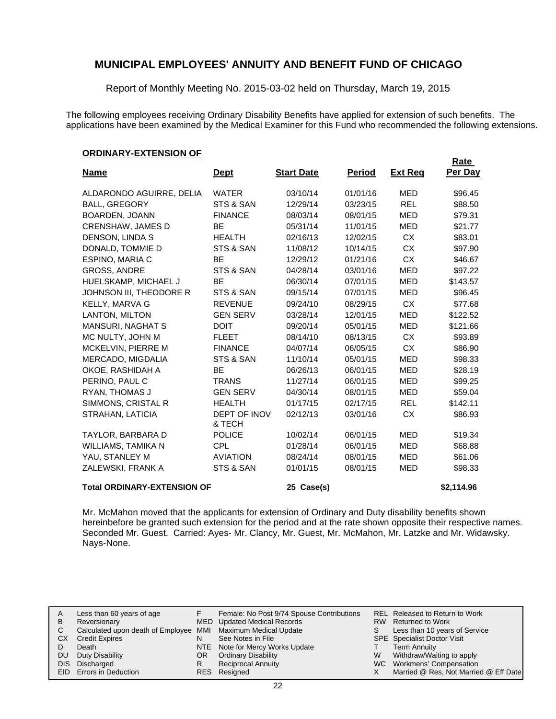Report of Monthly Meeting No. 2015-03-02 held on Thursday, March 19, 2015

The following employees receiving Ordinary Disability Benefits have applied for extension of such benefits. The applications have been examined by the Medical Examiner for this Fund who recommended the following extensions.

#### **ORDINARY-EXTENSION OF**

| .                                  |                        |                   |               |                | Rate       |
|------------------------------------|------------------------|-------------------|---------------|----------------|------------|
| <u>Name</u>                        | <u>Dept</u>            | <b>Start Date</b> | <u>Period</u> | <b>Ext Reg</b> | Per Day    |
| ALDARONDO AGUIRRE, DELIA           | <b>WATER</b>           | 03/10/14          | 01/01/16      | <b>MED</b>     | \$96.45    |
| <b>BALL, GREGORY</b>               | STS & SAN              | 12/29/14          | 03/23/15      | <b>REL</b>     | \$88.50    |
| BOARDEN, JOANN                     | <b>FINANCE</b>         | 08/03/14          | 08/01/15      | <b>MED</b>     | \$79.31    |
| <b>CRENSHAW, JAMES D</b>           | <b>BE</b>              | 05/31/14          | 11/01/15      | <b>MED</b>     | \$21.77    |
| DENSON, LINDA S                    | <b>HEALTH</b>          | 02/16/13          | 12/02/15      | CX.            | \$83.01    |
| DONALD, TOMMIE D                   | STS & SAN              | 11/08/12          | 10/14/15      | <b>CX</b>      | \$97.90    |
| ESPINO, MARIA C                    | <b>BE</b>              | 12/29/12          | 01/21/16      | CX             | \$46.67    |
| <b>GROSS, ANDRE</b>                | STS & SAN              | 04/28/14          | 03/01/16      | <b>MED</b>     | \$97.22    |
| HUELSKAMP, MICHAEL J               | <b>BE</b>              | 06/30/14          | 07/01/15      | MED            | \$143.57   |
| JOHNSON III, THEODORE R            | STS & SAN              | 09/15/14          | 07/01/15      | <b>MED</b>     | \$96.45    |
| <b>KELLY, MARVA G</b>              | <b>REVENUE</b>         | 09/24/10          | 08/29/15      | <b>CX</b>      | \$77.68    |
| LANTON, MILTON                     | <b>GEN SERV</b>        | 03/28/14          | 12/01/15      | <b>MED</b>     | \$122.52   |
| <b>MANSURI, NAGHAT S</b>           | <b>DOIT</b>            | 09/20/14          | 05/01/15      | MED            | \$121.66   |
| MC NULTY, JOHN M                   | <b>FLEET</b>           | 08/14/10          | 08/13/15      | <b>CX</b>      | \$93.89    |
| MCKELVIN, PIERRE M                 | <b>FINANCE</b>         | 04/07/14          | 06/05/15      | <b>CX</b>      | \$86.90    |
| MERCADO, MIGDALIA                  | STS & SAN              | 11/10/14          | 05/01/15      | <b>MED</b>     | \$98.33    |
| OKOE, RASHIDAH A                   | <b>BE</b>              | 06/26/13          | 06/01/15      | <b>MED</b>     | \$28.19    |
| PERINO, PAUL C                     | <b>TRANS</b>           | 11/27/14          | 06/01/15      | <b>MED</b>     | \$99.25    |
| RYAN, THOMAS J                     | <b>GEN SERV</b>        | 04/30/14          | 08/01/15      | <b>MED</b>     | \$59.04    |
| SIMMONS, CRISTAL R                 | <b>HEALTH</b>          | 01/17/15          | 02/17/15      | <b>REL</b>     | \$142.11   |
| STRAHAN, LATICIA                   | DEPT OF INOV<br>& TECH | 02/12/13          | 03/01/16      | <b>CX</b>      | \$86.93    |
| TAYLOR, BARBARA D                  | <b>POLICE</b>          | 10/02/14          | 06/01/15      | MED            | \$19.34    |
| WILLIAMS, TAMIKA N                 | <b>CPL</b>             | 01/28/14          | 06/01/15      | <b>MED</b>     | \$68.88    |
| YAU, STANLEY M                     | <b>AVIATION</b>        | 08/24/14          | 08/01/15      | MED            | \$61.06    |
| ZALEWSKI, FRANK A                  | STS & SAN              | 01/01/15          | 08/01/15      | <b>MED</b>     | \$98.33    |
| <b>Total ORDINARY-EXTENSION OF</b> |                        | 25 Case(s)        |               |                | \$2,114.96 |

Mr. McMahon moved that the applicants for extension of Ordinary and Duty disability benefits shown hereinbefore be granted such extension for the period and at the rate shown opposite their respective names. Seconded Mr. Guest. Carried: Ayes- Mr. Clancy, Mr. Guest, Mr. McMahon, Mr. Latzke and Mr. Widawsky. Nays-None.

| Α   | Less than 60 years of age                                    |     | Female: No Post 9/74 Spouse Contributions |   | REL Released to Return to Work        |
|-----|--------------------------------------------------------------|-----|-------------------------------------------|---|---------------------------------------|
| B   | Reversionary                                                 |     | MED Updated Medical Records               |   | RW Returned to Work                   |
|     | Calculated upon death of Employee MMI Maximum Medical Update |     |                                           | S | Less than 10 years of Service         |
| CХ  | <b>Credit Expires</b>                                        | N   | See Notes in File                         |   | <b>SPE</b> Specialist Doctor Visit    |
|     | Death                                                        |     | NTE Note for Mercy Works Update           |   | <b>Term Annuity</b>                   |
| DU. | Duty Disability                                              | OR. | <b>Ordinary Disability</b>                | W | Withdraw/Waiting to apply             |
|     | DIS Discharged                                               |     | <b>Reciprocal Annuity</b>                 |   | WC Workmens' Compensation             |
|     | <b>EID</b> Errors in Deduction                               |     | RES Resigned                              |   | Married @ Res, Not Married @ Eff Date |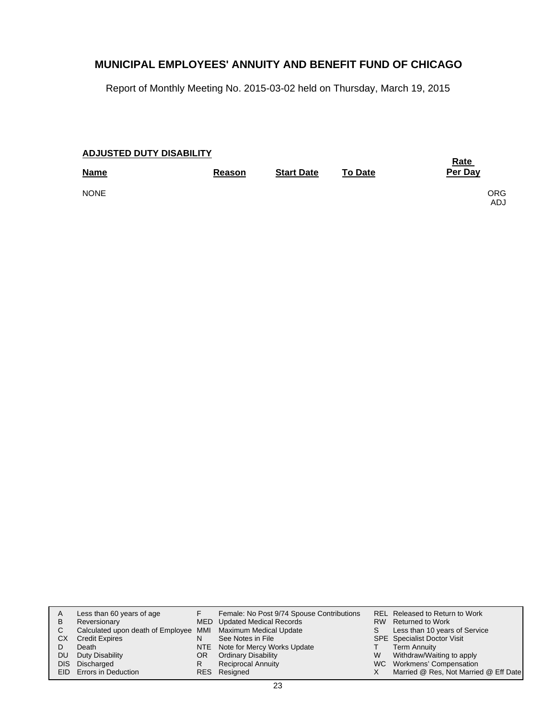Report of Monthly Meeting No. 2015-03-02 held on Thursday, March 19, 2015

| <b>ADJUSTED DUTY DISABILITY</b> |        | <b>Rate</b>       |                |                   |
|---------------------------------|--------|-------------------|----------------|-------------------|
| <b>Name</b>                     | Reason | <b>Start Date</b> | <b>To Date</b> | Per Day           |
| <b>NONE</b>                     |        |                   |                | <b>ORG</b><br>ADJ |

| A    | Less than 60 years of age                                    |    | Female: No Post 9/74 Spouse Contributions |   | REL Released to Return to Work        |
|------|--------------------------------------------------------------|----|-------------------------------------------|---|---------------------------------------|
| B    | Reversionary                                                 |    | MED Updated Medical Records               |   | RW Returned to Work                   |
| C    | Calculated upon death of Employee MMI Maximum Medical Update |    |                                           | S | Less than 10 years of Service         |
| СX   | <b>Credit Expires</b>                                        | N  | See Notes in File                         |   | <b>SPE</b> Specialist Doctor Visit    |
|      | Death                                                        |    | NTE Note for Mercy Works Update           |   | <b>Term Annuity</b>                   |
| DU.  | Duty Disability                                              | OR | <b>Ordinary Disability</b>                | W | Withdraw/Waiting to apply             |
| DIS. | Discharged                                                   |    | <b>Reciprocal Annuity</b>                 |   | WC Workmens' Compensation             |
|      | EID Errors in Deduction                                      |    | RES Resigned                              |   | Married @ Res, Not Married @ Eff Date |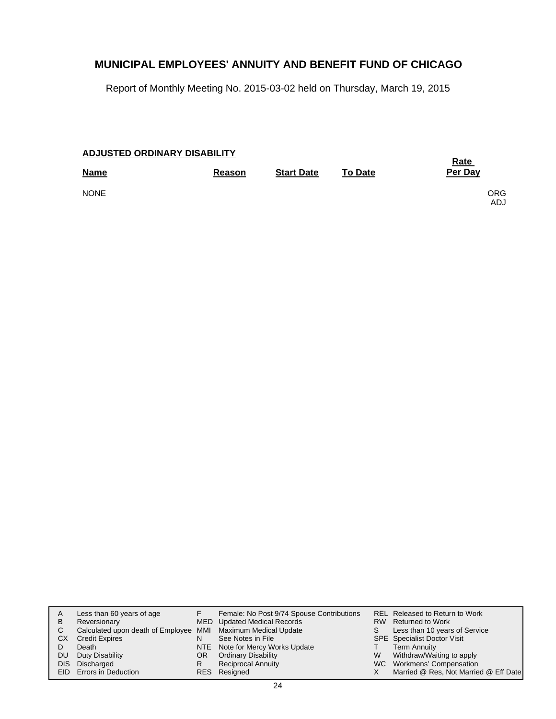Report of Monthly Meeting No. 2015-03-02 held on Thursday, March 19, 2015

| <b>ADJUSTED ORDINARY DISABILITY</b> |               | <b>Rate</b>       |                |                   |
|-------------------------------------|---------------|-------------------|----------------|-------------------|
| <b>Name</b>                         | <b>Reason</b> | <b>Start Date</b> | <b>To Date</b> | Per Day           |
| <b>NONE</b>                         |               |                   |                | <b>ORG</b><br>ADJ |

| A<br>B | Less than 60 years of age<br>Reversionary<br>Calculated upon death of Employee MMI Maximum Medical Update |    | Female: No Post 9/74 Spouse Contributions<br><b>MED</b> Updated Medical Records | S. | REL Released to Return to Work<br>RW Returned to Work<br>Less than 10 years of Service |
|--------|-----------------------------------------------------------------------------------------------------------|----|---------------------------------------------------------------------------------|----|----------------------------------------------------------------------------------------|
| СX     | <b>Credit Expires</b>                                                                                     | N  | See Notes in File                                                               |    | <b>SPE</b> Specialist Doctor Visit                                                     |
| DU.    | Death<br>Duty Disability                                                                                  | OR | NTE Note for Mercy Works Update<br><b>Ordinary Disability</b>                   | W  | <b>Term Annuity</b><br>Withdraw/Waiting to apply                                       |
|        | DIS Discharged<br><b>EID</b> Errors in Deduction                                                          | R  | <b>Reciprocal Annuity</b><br>RES Resigned                                       |    | WC Workmens' Compensation<br>Married @ Res, Not Married @ Eff Date                     |
|        |                                                                                                           |    |                                                                                 |    |                                                                                        |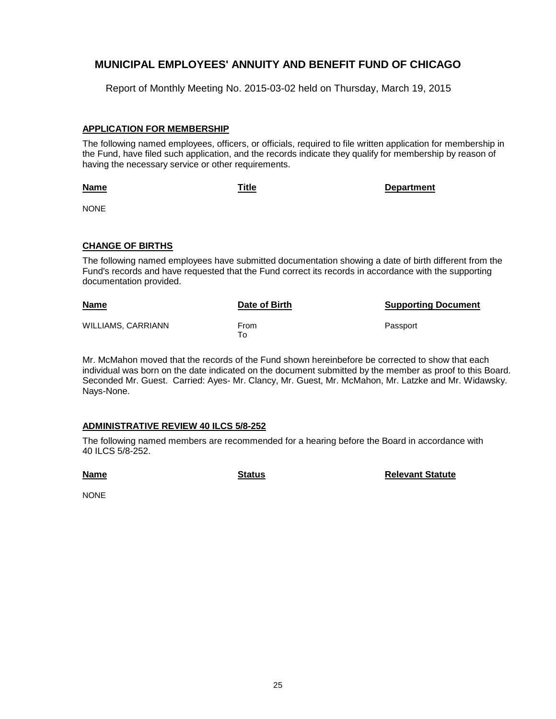Report of Monthly Meeting No. 2015-03-02 held on Thursday, March 19, 2015

#### **APPLICATION FOR MEMBERSHIP**

The following named employees, officers, or officials, required to file written application for membership in the Fund, have filed such application, and the records indicate they qualify for membership by reason of having the necessary service or other requirements.

| Title | <b>Department</b> |
|-------|-------------------|
|       |                   |

NONE

**Name**

#### **CHANGE OF BIRTHS**

The following named employees have submitted documentation showing a date of birth different from the Fund's records and have requested that the Fund correct its records in accordance with the supporting documentation provided.

| <b>Name</b>        | Date of Birth | <b>Supporting Document</b> |
|--------------------|---------------|----------------------------|
| WILLIAMS, CARRIANN | From<br>то    | Passport                   |

Mr. McMahon moved that the records of the Fund shown hereinbefore be corrected to show that each individual was born on the date indicated on the document submitted by the member as proof to this Board. Seconded Mr. Guest. Carried: Ayes- Mr. Clancy, Mr. Guest, Mr. McMahon, Mr. Latzke and Mr. Widawsky. Nays-None.

#### **ADMINISTRATIVE REVIEW 40 ILCS 5/8-252**

The following named members are recommended for a hearing before the Board in accordance with 40 ILCS 5/8-252.

**Name**

**Status Relevant Statute**

NONE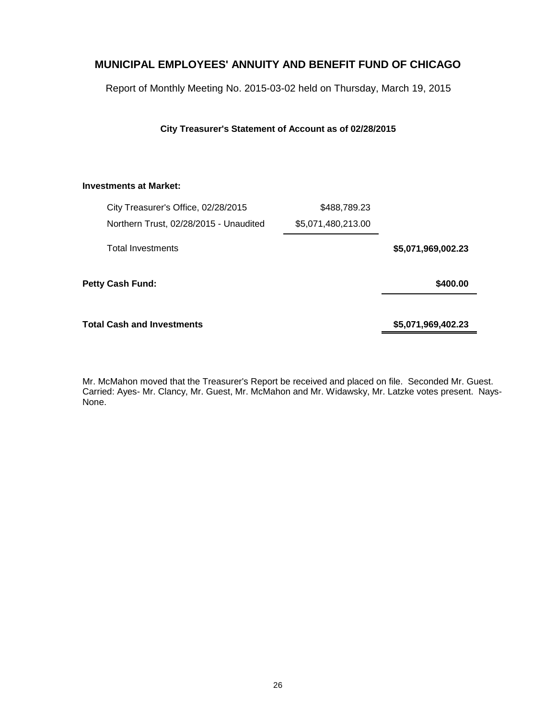Report of Monthly Meeting No. 2015-03-02 held on Thursday, March 19, 2015

**City Treasurer's Statement of Account as of 02/28/2015**

#### **Investments at Market:**

| City Treasurer's Office, 02/28/2015    | \$488,789.23       |                    |
|----------------------------------------|--------------------|--------------------|
| Northern Trust, 02/28/2015 - Unaudited | \$5,071,480,213.00 |                    |
| <b>Total Investments</b>               |                    | \$5,071,969,002.23 |
| Petty Cash Fund:                       |                    | \$400.00           |
| Total Cash and Investments             |                    | \$5,071,969,402.23 |

Mr. McMahon moved that the Treasurer's Report be received and placed on file. Seconded Mr. Guest. Carried: Ayes- Mr. Clancy, Mr. Guest, Mr. McMahon and Mr. Widawsky, Mr. Latzke votes present. Nays-None.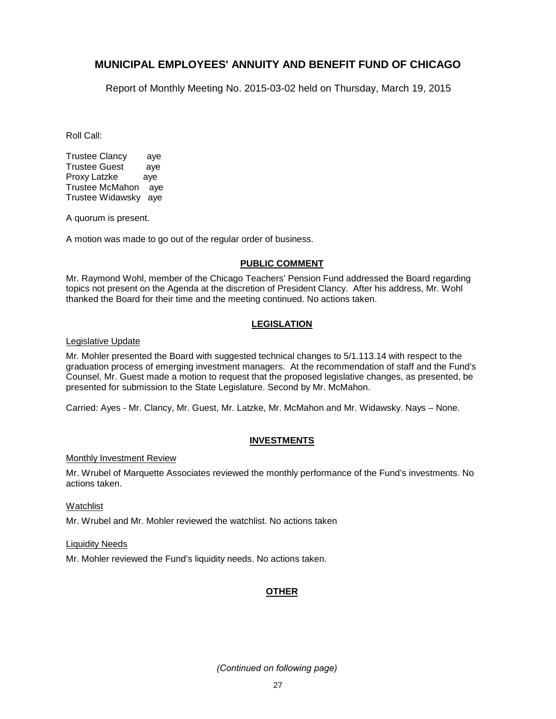Report of Monthly Meeting No. 2015-03-02 held on Thursday, March 19, 2015

Roll Call:

Trustee Clancy aye Trustee Guest aye Proxy Latzke aye Trustee McMahon aye Trustee Widawsky aye

A quorum is present.

A motion was made to go out of the regular order of business.

#### **PUBLIC COMMENT**

Mr. Raymond Wohl, member of the Chicago Teachers' Pension Fund addressed the Board regarding topics not present on the Agenda at the discretion of President Clancy. After his address, Mr. Wohl thanked the Board for their time and the meeting continued. No actions taken.

#### **LEGISLATION**

Legislative Update

Mr. Mohler presented the Board with suggested technical changes to 5/1.113.14 with respect to the graduation process of emerging investment managers. At the recommendation of staff and the Fund's Counsel, Mr. Guest made a motion to request that the proposed legislative changes, as presented, be presented for submission to the State Legislature. Second by Mr. McMahon.

Carried: Ayes - Mr. Clancy, Mr. Guest, Mr. Latzke, Mr. McMahon and Mr. Widawsky. Nays – None.

#### **INVESTMENTS**

#### Monthly Investment Review

Mr. Wrubel of Marquette Associates reviewed the monthly performance of the Fund's investments. No actions taken.

**Watchlist** 

Mr. Wrubel and Mr. Mohler reviewed the watchlist. No actions taken

Liquidity Needs

Mr. Mohler reviewed the Fund's liquidity needs. No actions taken.

### **OTHER**

*(Continued on following page)*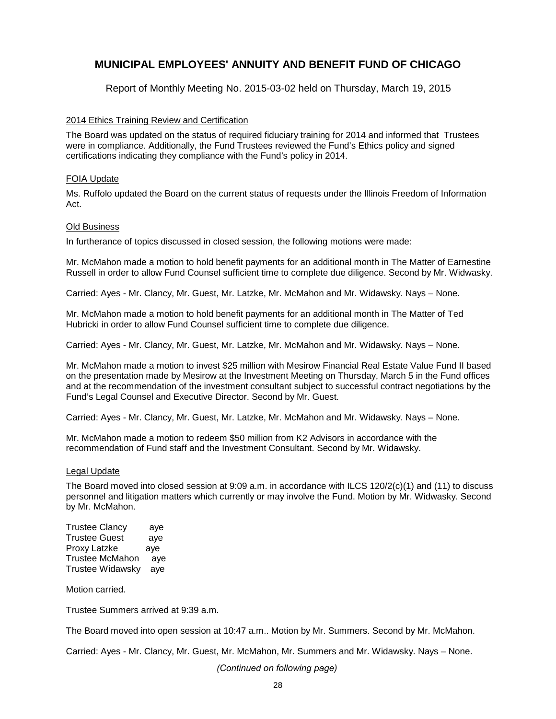Report of Monthly Meeting No. 2015-03-02 held on Thursday, March 19, 2015

#### 2014 Ethics Training Review and Certification

The Board was updated on the status of required fiduciary training for 2014 and informed that Trustees were in compliance. Additionally, the Fund Trustees reviewed the Fund's Ethics policy and signed certifications indicating they compliance with the Fund's policy in 2014.

#### FOIA Update

Ms. Ruffolo updated the Board on the current status of requests under the Illinois Freedom of Information Act.

#### Old Business

In furtherance of topics discussed in closed session, the following motions were made:

Mr. McMahon made a motion to hold benefit payments for an additional month in The Matter of Earnestine Russell in order to allow Fund Counsel sufficient time to complete due diligence. Second by Mr. Widwasky.

Carried: Ayes - Mr. Clancy, Mr. Guest, Mr. Latzke, Mr. McMahon and Mr. Widawsky. Nays – None.

Mr. McMahon made a motion to hold benefit payments for an additional month in The Matter of Ted Hubricki in order to allow Fund Counsel sufficient time to complete due diligence.

Carried: Ayes - Mr. Clancy, Mr. Guest, Mr. Latzke, Mr. McMahon and Mr. Widawsky. Nays – None.

Mr. McMahon made a motion to invest \$25 million with Mesirow Financial Real Estate Value Fund II based on the presentation made by Mesirow at the Investment Meeting on Thursday, March 5 in the Fund offices and at the recommendation of the investment consultant subject to successful contract negotiations by the Fund's Legal Counsel and Executive Director. Second by Mr. Guest.

Carried: Ayes - Mr. Clancy, Mr. Guest, Mr. Latzke, Mr. McMahon and Mr. Widawsky. Nays – None.

Mr. McMahon made a motion to redeem \$50 million from K2 Advisors in accordance with the recommendation of Fund staff and the Investment Consultant. Second by Mr. Widawsky.

#### Legal Update

The Board moved into closed session at 9:09 a.m. in accordance with ILCS 120/2(c)(1) and (11) to discuss personnel and litigation matters which currently or may involve the Fund. Motion by Mr. Widwasky. Second by Mr. McMahon.

Trustee Clancy aye Trustee Guest aye Proxy Latzke aye Trustee McMahon aye Trustee Widawsky aye

Motion carried.

Trustee Summers arrived at 9:39 a.m.

The Board moved into open session at 10:47 a.m.. Motion by Mr. Summers. Second by Mr. McMahon.

Carried: Ayes - Mr. Clancy, Mr. Guest, Mr. McMahon, Mr. Summers and Mr. Widawsky. Nays – None.

*(Continued on following page)*